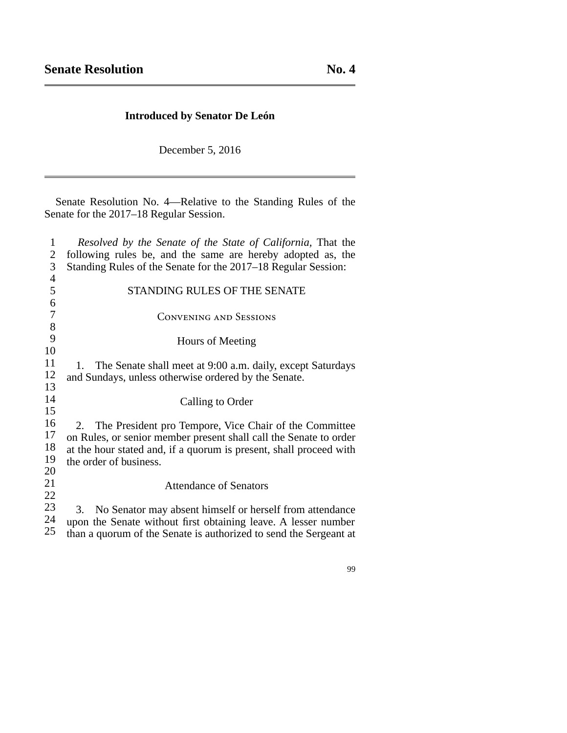# **Introduced by Senator De León**

December 5, 2016

Senate Resolution No. 4—Relative to the Standing Rules of the Senate for the 2017–18 Regular Session.

| $\mathbf{1}$     | Resolved by the Senate of the State of California, That the        |
|------------------|--------------------------------------------------------------------|
| 2                | following rules be, and the same are hereby adopted as, the        |
| 3                | Standing Rules of the Senate for the 2017–18 Regular Session:      |
| $\overline{4}$   |                                                                    |
| 5                | STANDING RULES OF THE SENATE                                       |
| 6                |                                                                    |
| $\boldsymbol{7}$ | <b>CONVENING AND SESSIONS</b>                                      |
| 8                |                                                                    |
| 9                | Hours of Meeting                                                   |
| 10               |                                                                    |
| 11               | The Senate shall meet at 9:00 a.m. daily, except Saturdays<br>1.   |
| 12               | and Sundays, unless otherwise ordered by the Senate.               |
| 13               |                                                                    |
| 14               | Calling to Order                                                   |
| 15               |                                                                    |
| 16               | The President pro Tempore, Vice Chair of the Committee<br>2.       |
| 17               | on Rules, or senior member present shall call the Senate to order  |
| 18               | at the hour stated and, if a quorum is present, shall proceed with |
| 19               | the order of business.                                             |
| 20               |                                                                    |
| 21               | <b>Attendance of Senators</b>                                      |
| 22               |                                                                    |
| 23               | No Senator may absent himself or herself from attendance<br>3.     |
| 24               | upon the Senate without first obtaining leave. A lesser number     |
| 25               | than a quorum of the Senate is authorized to send the Sergeant at  |
|                  |                                                                    |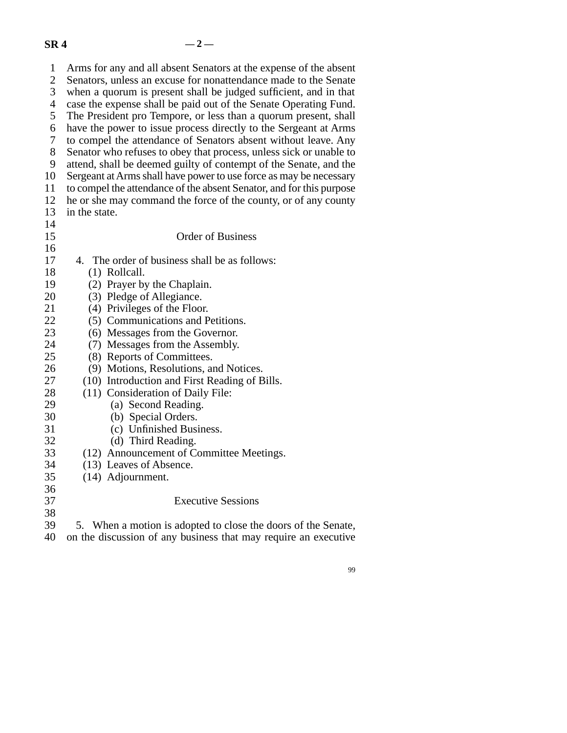| $\mathbf{1}$   | Arms for any and all absent Senators at the expense of the absent    |
|----------------|----------------------------------------------------------------------|
| $\overline{2}$ | Senators, unless an excuse for nonattendance made to the Senate      |
| 3              | when a quorum is present shall be judged sufficient, and in that     |
| $\overline{4}$ | case the expense shall be paid out of the Senate Operating Fund.     |
| 5              | The President pro Tempore, or less than a quorum present, shall      |
| 6              | have the power to issue process directly to the Sergeant at Arms     |
| 7              | to compel the attendance of Senators absent without leave. Any       |
| 8              | Senator who refuses to obey that process, unless sick or unable to   |
| 9              | attend, shall be deemed guilty of contempt of the Senate, and the    |
| 10             | Sergeant at Arms shall have power to use force as may be necessary   |
| 11             | to compel the attendance of the absent Senator, and for this purpose |
| 12             | he or she may command the force of the county, or of any county      |
| 13             | in the state.                                                        |
| 14             |                                                                      |
| 15             | <b>Order of Business</b>                                             |
| 16             |                                                                      |
| 17             | 4. The order of business shall be as follows:                        |
| 18             | (1) Rollcall.                                                        |
| 19             | (2) Prayer by the Chaplain.                                          |
| 20             | (3) Pledge of Allegiance.                                            |
| 21             | (4) Privileges of the Floor.                                         |
| 22             | (5) Communications and Petitions.                                    |
| 23             | (6) Messages from the Governor.                                      |
| 24             | (7) Messages from the Assembly.                                      |
| 25             | (8) Reports of Committees.                                           |
| 26             | (9) Motions, Resolutions, and Notices.                               |
| 27             | (10) Introduction and First Reading of Bills.                        |
| 28             | (11) Consideration of Daily File:                                    |
| 29             | (a) Second Reading.                                                  |
| 30             | (b) Special Orders.                                                  |
| 31             | (c) Unfinished Business.                                             |
| 32             | (d) Third Reading.                                                   |
| 33             | (12) Announcement of Committee Meetings.                             |
| 34             | (13) Leaves of Absence.                                              |
| 35             | (14) Adjournment.                                                    |
| 36             | <b>Executive Sessions</b>                                            |
| 37             |                                                                      |
| 38             |                                                                      |
| 39             | 5. When a motion is adopted to close the doors of the Senate,        |

40 on the discussion of any business that may require an executive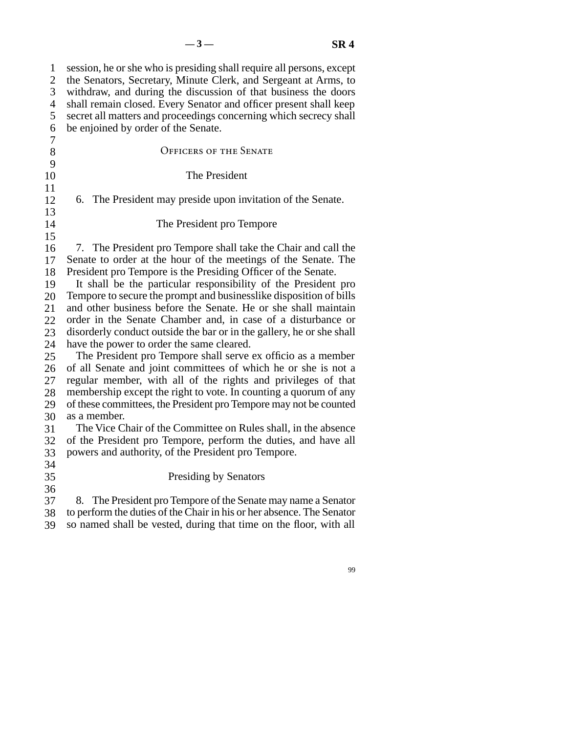line 1 session, he or she who is presiding shall require all persons, except 2 the Senators, Secretary, Minute Clerk, and Sergeant at Arms, to 3 withdraw, and during the discussion of that business the doors 4 shall remain closed. Every Senator and officer present shall keep 5 secret all matters and proceedings concerning which secrecy shall 6 be enjoined by order of the Senate.  $\overline{7}$ 8 OFFICERS OF THE SENATE  $\overline{9}$ 10 The President  $\frac{11}{12}$ 6. The President may preside upon invitation of the Senate.  $13$ 14 The President pro Tempore

15 16 7. The President pro Tempore shall take the Chair and call the 17 Senate to order at the hour of the meetings of the Senate. The 18 President pro Tempore is the Presiding Officer of the Senate.

19 It shall be the particular responsibility of the President pro 20 Tempore to secure the prompt and businesslike disposition of bills 21 and other business before the Senate. He or she shall maintain 22 order in the Senate Chamber and, in case of a disturbance or 23 disorderly conduct outside the bar or in the gallery, he or she shall 24 have the power to order the same cleared.<br>25 The President pro Tempore shall serve

The President pro Tempore shall serve ex officio as a member 26 of all Senate and joint committees of which he or she is not a 27 regular member, with all of the rights and privileges of that 28 membership except the right to vote. In counting a quorum of any 29 of these committees, the President pro Tempore may not be counted 30 as a member. 31 The Vice Chair of the Committee on Rules shall, in the absence 32 of the President pro Tempore, perform the duties, and have all

- 33 powers and authority, of the President pro Tempore.
- line 34

# 35 Presiding by Senators

36 line 37 8. The President pro Tempore of the Senate may name a Senator 38 to perform the duties of the Chair in his or her absence. The Senator

39 so named shall be vested, during that time on the floor, with all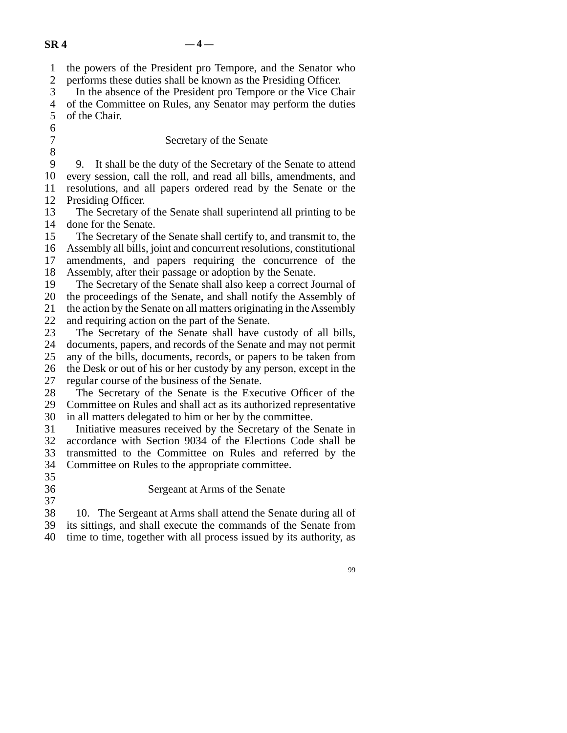line 1 the powers of the President pro Tempore, and the Senator who 2 performs these duties shall be known as the Presiding Officer. 3 In the absence of the President pro Tempore or the Vice Chair 4 of the Committee on Rules, any Senator may perform the duties 5 of the Chair. 6 1 Secretary of the Senate  $\begin{array}{c} 8 \\ 9 \end{array}$ 9. It shall be the duty of the Secretary of the Senate to attend 10 every session, call the roll, and read all bills, amendments, and 11 resolutions, and all papers ordered read by the Senate or the 12 Presiding Officer. 13 The Secretary of the Senate shall superintend all printing to be 14 done for the Senate. 15 The Secretary of the Senate shall certify to, and transmit to, the 16 Assembly all bills, joint and concurrent resolutions, constitutional 17 amendments, and papers requiring the concurrence of the 18 Assembly, after their passage or adoption by the Senate. 19 The Secretary of the Senate shall also keep a correct Journal of 20 the proceedings of the Senate, and shall notify the Assembly of 21 the action by the Senate on all matters originating in the Assembly 22 and requiring action on the part of the Senate.<br>23 The Secretary of the Senate shall have cu The Secretary of the Senate shall have custody of all bills, 24 documents, papers, and records of the Senate and may not permit<br>25 any of the bills, documents, records, or papers to be taken from any of the bills, documents, records, or papers to be taken from 26 the Desk or out of his or her custody by any person, except in the 27 regular course of the business of the Senate. 28 The Secretary of the Senate is the Executive Officer of the 29 Committee on Rules and shall act as its authorized representative 30 in all matters delegated to him or her by the committee. 31 Initiative measures received by the Secretary of the Senate in 32 accordance with Section 9034 of the Elections Code shall be 33 transmitted to the Committee on Rules and referred by the 34 Committee on Rules to the appropriate committee. 35 36 Sergeant at Arms of the Senate 37 38 10. The Sergeant at Arms shall attend the Senate during all of 39 its sittings, and shall execute the commands of the Senate from 40 time to time, together with all process issued by its authority, as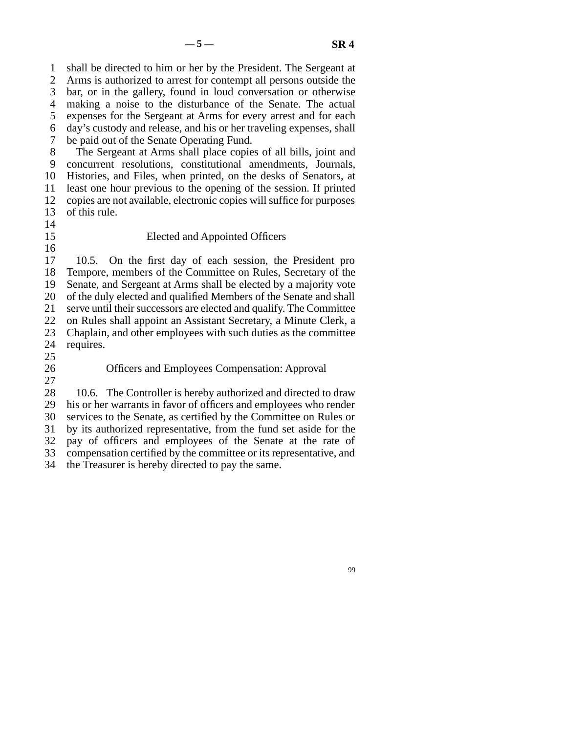1 shall be directed to him or her by the President. The Sergeant at 2 Arms is authorized to arrest for contempt all persons outside the 3 bar, or in the gallery, found in loud conversation or otherwise line 4 making a noise to the disturbance of the Senate. The actual 5 expenses for the Sergeant at Arms for every arrest and for each line 6 day's custody and release, and his or her traveling expenses, shall 7 be paid out of the Senate Operating Fund.

8 The Sergeant at Arms shall place copies of all bills, joint and 9 concurrent resolutions, constitutional amendments, Journals, 10 Histories, and Files, when printed, on the desks of Senators, at 11 least one hour previous to the opening of the session. If printed 12 copies are not available, electronic copies will suffice for purposes 13 of this rule.

 $14$ 

16

# 15 Elected and Appointed Officers

17 10.5. On the first day of each session, the President pro 18 Tempore, members of the Committee on Rules, Secretary of the 19 Senate, and Sergeant at Arms shall be elected by a majority vote 20 of the duly elected and qualified Members of the Senate and shall 21 serve until their successors are elected and qualify. The Committee 22 on Rules shall appoint an Assistant Secretary, a Minute Clerk, a 23 Chaplain, and other employees with such duties as the committee 24 requires.

- 25
- 

26 Officers and Employees Compensation: Approval

 $\frac{27}{28}$ 10.6. The Controller is hereby authorized and directed to draw 29 his or her warrants in favor of officers and employees who render 30 services to the Senate, as certified by the Committee on Rules or 31 by its authorized representative, from the fund set aside for the 32 pay of officers and employees of the Senate at the rate of

33 compensation certified by the committee or its representative, and

34 the Treasurer is hereby directed to pay the same.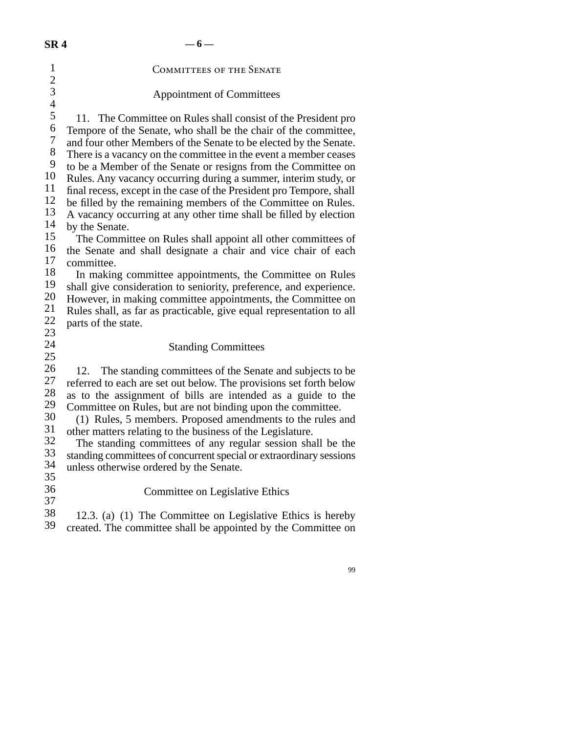| SR <sub>4</sub>                                   | $-6-$                                                                                                                                                                                                                                                                                                                                                                                                                                                                                                                                                                                                                          |
|---------------------------------------------------|--------------------------------------------------------------------------------------------------------------------------------------------------------------------------------------------------------------------------------------------------------------------------------------------------------------------------------------------------------------------------------------------------------------------------------------------------------------------------------------------------------------------------------------------------------------------------------------------------------------------------------|
| $\mathbf{1}$                                      | <b>COMMITTEES OF THE SENATE</b>                                                                                                                                                                                                                                                                                                                                                                                                                                                                                                                                                                                                |
| $\frac{2}{3}$<br>$\overline{4}$                   | <b>Appointment of Committees</b>                                                                                                                                                                                                                                                                                                                                                                                                                                                                                                                                                                                               |
| 5<br>6<br>7<br>$8\,$<br>9<br>10<br>11<br>12<br>13 | The Committee on Rules shall consist of the President pro<br>11.<br>Tempore of the Senate, who shall be the chair of the committee,<br>and four other Members of the Senate to be elected by the Senate.<br>There is a vacancy on the committee in the event a member ceases<br>to be a Member of the Senate or resigns from the Committee on<br>Rules. Any vacancy occurring during a summer, interim study, or<br>final recess, except in the case of the President pro Tempore, shall<br>be filled by the remaining members of the Committee on Rules.<br>A vacancy occurring at any other time shall be filled by election |
| 14                                                | by the Senate.                                                                                                                                                                                                                                                                                                                                                                                                                                                                                                                                                                                                                 |
| 15                                                | The Committee on Rules shall appoint all other committees of                                                                                                                                                                                                                                                                                                                                                                                                                                                                                                                                                                   |
| 16                                                | the Senate and shall designate a chair and vice chair of each                                                                                                                                                                                                                                                                                                                                                                                                                                                                                                                                                                  |
| 17<br>18                                          | committee.                                                                                                                                                                                                                                                                                                                                                                                                                                                                                                                                                                                                                     |
| 19                                                | In making committee appointments, the Committee on Rules                                                                                                                                                                                                                                                                                                                                                                                                                                                                                                                                                                       |
| 20<br>21<br>22                                    | shall give consideration to seniority, preference, and experience.<br>However, in making committee appointments, the Committee on<br>Rules shall, as far as practicable, give equal representation to all<br>parts of the state.                                                                                                                                                                                                                                                                                                                                                                                               |
| 23<br>24                                          |                                                                                                                                                                                                                                                                                                                                                                                                                                                                                                                                                                                                                                |
| 25                                                | <b>Standing Committees</b>                                                                                                                                                                                                                                                                                                                                                                                                                                                                                                                                                                                                     |
| 26                                                | The standing committees of the Senate and subjects to be.<br>12.                                                                                                                                                                                                                                                                                                                                                                                                                                                                                                                                                               |
| 27                                                | referred to each are set out below. The provisions set forth below                                                                                                                                                                                                                                                                                                                                                                                                                                                                                                                                                             |
| 28                                                | as to the assignment of bills are intended as a guide to the                                                                                                                                                                                                                                                                                                                                                                                                                                                                                                                                                                   |
| 29                                                | Committee on Rules, but are not binding upon the committee.                                                                                                                                                                                                                                                                                                                                                                                                                                                                                                                                                                    |
| 30                                                | (1) Rules, 5 members. Proposed amendments to the rules and                                                                                                                                                                                                                                                                                                                                                                                                                                                                                                                                                                     |
| 31                                                | other matters relating to the business of the Legislature.                                                                                                                                                                                                                                                                                                                                                                                                                                                                                                                                                                     |
| 32<br>33                                          | The standing committees of any regular session shall be the                                                                                                                                                                                                                                                                                                                                                                                                                                                                                                                                                                    |
| 34                                                | standing committees of concurrent special or extraordinary sessions                                                                                                                                                                                                                                                                                                                                                                                                                                                                                                                                                            |
| 35                                                | unless otherwise ordered by the Senate.                                                                                                                                                                                                                                                                                                                                                                                                                                                                                                                                                                                        |
| 36                                                | Committee on Legislative Ethics                                                                                                                                                                                                                                                                                                                                                                                                                                                                                                                                                                                                |
| 37                                                |                                                                                                                                                                                                                                                                                                                                                                                                                                                                                                                                                                                                                                |
| 38<br>39                                          | 12.3. (a) (1) The Committee on Legislative Ethics is hereby<br>created. The committee shall be appointed by the Committee on                                                                                                                                                                                                                                                                                                                                                                                                                                                                                                   |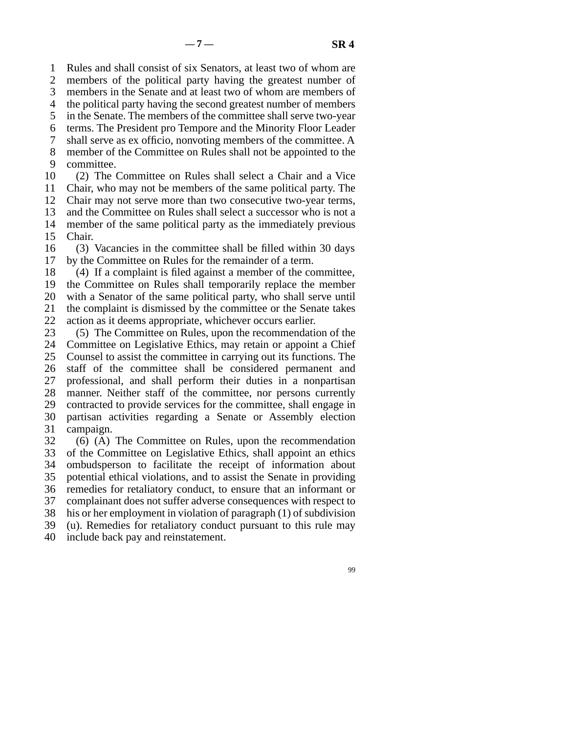1 Rules and shall consist of six Senators, at least two of whom are 2 members of the political party having the greatest number of

3 members in the Senate and at least two of whom are members of

4 the political party having the second greatest number of members

5 in the Senate. The members of the committee shall serve two-year

6 terms. The President pro Tempore and the Minority Floor Leader

7 shall serve as ex officio, nonvoting members of the committee. A

8 member of the Committee on Rules shall not be appointed to the 9 committee.

10 (2) The Committee on Rules shall select a Chair and a Vice

11 Chair, who may not be members of the same political party. The

12 Chair may not serve more than two consecutive two-year terms,

13 and the Committee on Rules shall select a successor who is not a 14 member of the same political party as the immediately previous

15 Chair.

16 (3) Vacancies in the committee shall be filled within 30 days 17 by the Committee on Rules for the remainder of a term.

18 (4) If a complaint is filed against a member of the committee,

19 the Committee on Rules shall temporarily replace the member 20 with a Senator of the same political party, who shall serve until

21 the complaint is dismissed by the committee or the Senate takes

22 action as it deems appropriate, whichever occurs earlier.<br>23 (5) The Committee on Rules, upon the recommendation

(5) The Committee on Rules, upon the recommendation of the 24 Committee on Legislative Ethics, may retain or appoint a Chief 25 Counsel to assist the committee in carrying out its functions. The

Counsel to assist the committee in carrying out its functions. The 26 staff of the committee shall be considered permanent and 27 professional, and shall perform their duties in a nonpartisan 28 manner. Neither staff of the committee, nor persons currently 29 contracted to provide services for the committee, shall engage in 30 partisan activities regarding a Senate or Assembly election 31 campaign.

32 (6) (A) The Committee on Rules, upon the recommendation 33 of the Committee on Legislative Ethics, shall appoint an ethics 34 ombudsperson to facilitate the receipt of information about 35 potential ethical violations, and to assist the Senate in providing 36 remedies for retaliatory conduct, to ensure that an informant or 37 complainant does not suffer adverse consequences with respect to  $38$  his or her employment in violation of paragraph (1) of subdivision

39 (u). Remedies for retaliatory conduct pursuant to this rule may

40 include back pay and reinstatement.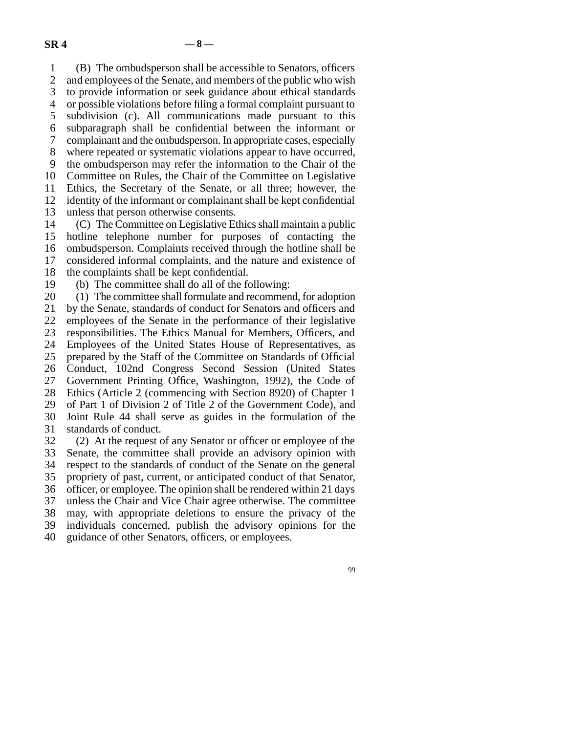line 1 (B) The ombudsperson shall be accessible to Senators, officers 2 and employees of the Senate, and members of the public who wish<br>3 to provide information or seek guidance about ethical standards to provide information or seek guidance about ethical standards line 4 or possible violations before filing a formal complaint pursuant to 5 subdivision (c). All communications made pursuant to this line 6 subparagraph shall be confidential between the informant or 7 complainant and the ombudsperson. In appropriate cases, especially 8 where repeated or systematic violations appear to have occurred, 9 the ombudsperson may refer the information to the Chair of the 10 Committee on Rules, the Chair of the Committee on Legislative 11 Ethics, the Secretary of the Senate, or all three; however, the 12 identity of the informant or complainant shall be kept confidential 13 unless that person otherwise consents.

14 (C) The Committee on Legislative Ethics shall maintain a public 15 hotline telephone number for purposes of contacting the 16 ombudsperson. Complaints received through the hotline shall be 17 considered informal complaints, and the nature and existence of 18 the complaints shall be kept confidential.

19 (b) The committee shall do all of the following:

20 (1) The committee shall formulate and recommend, for adoption 21 by the Senate, standards of conduct for Senators and officers and 22 employees of the Senate in the performance of their legislative 23 responsibilities. The Ethics Manual for Members, Officers, and 24 Employees of the United States House of Representatives, as 25 prepared by the Staff of the Committee on Standards of Official prepared by the Staff of the Committee on Standards of Official 26 Conduct, 102nd Congress Second Session (United States 27 Government Printing Office, Washington, 1992), the Code of 28 Ethics (Article 2 (commencing with Section 8920) of Chapter 1 29 of Part 1 of Division 2 of Title 2 of the Government Code), and 30 Joint Rule 44 shall serve as guides in the formulation of the 31 standards of conduct.

32 (2) At the request of any Senator or officer or employee of the 33 Senate, the committee shall provide an advisory opinion with 34 respect to the standards of conduct of the Senate on the general 35 propriety of past, current, or anticipated conduct of that Senator, 36 officer, or employee. The opinion shall be rendered within 21 days 37 unless the Chair and Vice Chair agree otherwise. The committee 38 may, with appropriate deletions to ensure the privacy of the 39 individuals concerned, publish the advisory opinions for the 40 guidance of other Senators, officers, or employees.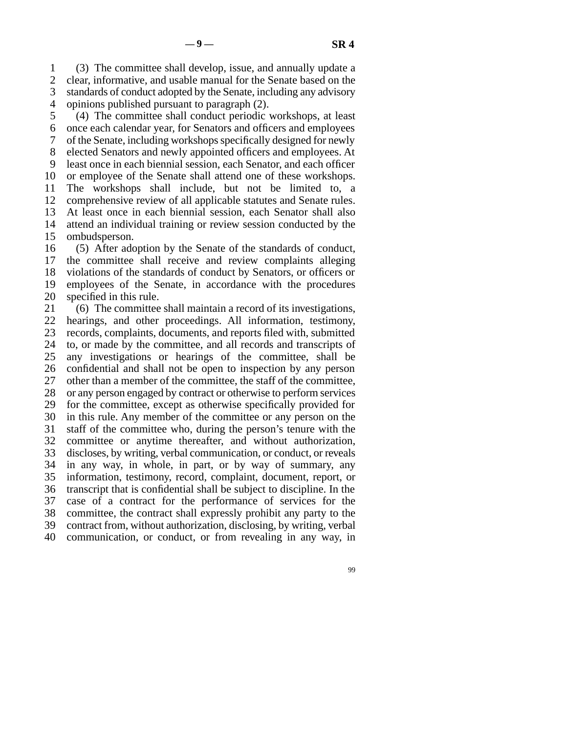line 1 (3) The committee shall develop, issue, and annually update a 2 clear, informative, and usable manual for the Senate based on the 3 standards of conduct adopted by the Senate, including any advisory 4 opinions published pursuant to paragraph  $(2)$ .

5 (4) The committee shall conduct periodic workshops, at least line 6 once each calendar year, for Senators and officers and employees line 7 of the Senate, including workshops specifically designed for newly 8 elected Senators and newly appointed officers and employees. At 9 least once in each biennial session, each Senator, and each officer 10 or employee of the Senate shall attend one of these workshops. 11 The workshops shall include, but not be limited to, a 12 comprehensive review of all applicable statutes and Senate rules. 13 At least once in each biennial session, each Senator shall also 14 attend an individual training or review session conducted by the 15 ombudsperson.

16 (5) After adoption by the Senate of the standards of conduct, 17 the committee shall receive and review complaints alleging 18 violations of the standards of conduct by Senators, or officers or 19 employees of the Senate, in accordance with the procedures 20 specified in this rule.

21 (6) The committee shall maintain a record of its investigations, 22 hearings, and other proceedings. All information, testimony, 23 records, complaints, documents, and reports filed with, submitted 24 to, or made by the committee, and all records and transcripts of 25 any investigations or hearings of the committee, shall be any investigations or hearings of the committee, shall be 26 confidential and shall not be open to inspection by any person 27 other than a member of the committee, the staff of the committee, 28 or any person engaged by contract or otherwise to perform services 29 for the committee, except as otherwise specifically provided for 30 in this rule. Any member of the committee or any person on the 31 staff of the committee who, during the person's tenure with the 32 committee or anytime thereafter, and without authorization, 33 discloses, by writing, verbal communication, or conduct, or reveals 34 in any way, in whole, in part, or by way of summary, any 35 information, testimony, record, complaint, document, report, or 36 transcript that is confidential shall be subject to discipline. In the 37 case of a contract for the performance of services for the 38 committee, the contract shall expressly prohibit any party to the 39 contract from, without authorization, disclosing, by writing, verbal 40 communication, or conduct, or from revealing in any way, in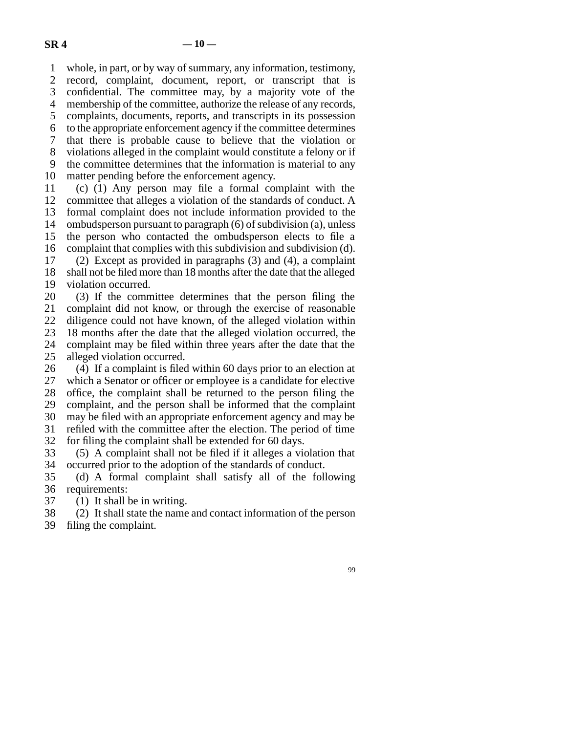line 1 whole, in part, or by way of summary, any information, testimony, 2 record, complaint, document, report, or transcript that is<br>3 confidential. The committee may, by a majority vote of the confidential. The committee may, by a majority vote of the 4 membership of the committee, authorize the release of any records, 5 complaints, documents, reports, and transcripts in its possession line 6 to the appropriate enforcement agency if the committee determines line 7 that there is probable cause to believe that the violation or 8 violations alleged in the complaint would constitute a felony or if 9 the committee determines that the information is material to any 10 matter pending before the enforcement agency.

 line 11 (c) (1) Any person may file a formal complaint with the 12 committee that alleges a violation of the standards of conduct. A 13 formal complaint does not include information provided to the 14 ombudsperson pursuant to paragraph  $(6)$  of subdivision (a), unless 15 the person who contacted the ombudsperson elects to file a 16 complaint that complies with this subdivision and subdivision (d). 17 (2) Except as provided in paragraphs  $(3)$  and  $(4)$ , a complaint 18 shall not be filed more than 18 months after the date that the alleged 19 violation occurred.

20 (3) If the committee determines that the person filing the 21 complaint did not know, or through the exercise of reasonable 22 diligence could not have known, of the alleged violation within 23 18 months after the date that the alleged violation occurred, the 24 complaint may be filed within three years after the date that the 25 alleged violation occurred. alleged violation occurred.

26 (4) If a complaint is filed within 60 days prior to an election at 27 which a Senator or officer or employee is a candidate for elective which a Senator or officer or employee is a candidate for elective 28 office, the complaint shall be returned to the person filing the 29 complaint, and the person shall be informed that the complaint 30 may be filed with an appropriate enforcement agency and may be 31 refiled with the committee after the election. The period of time 32 for filing the complaint shall be extended for 60 days.

33 (5) A complaint shall not be filed if it alleges a violation that 34 occurred prior to the adoption of the standards of conduct.

35 (d) A formal complaint shall satisfy all of the following 36 requirements:

 $37$  (1) It shall be in writing.

38 (2) It shall state the name and contact information of the person

39 filing the complaint.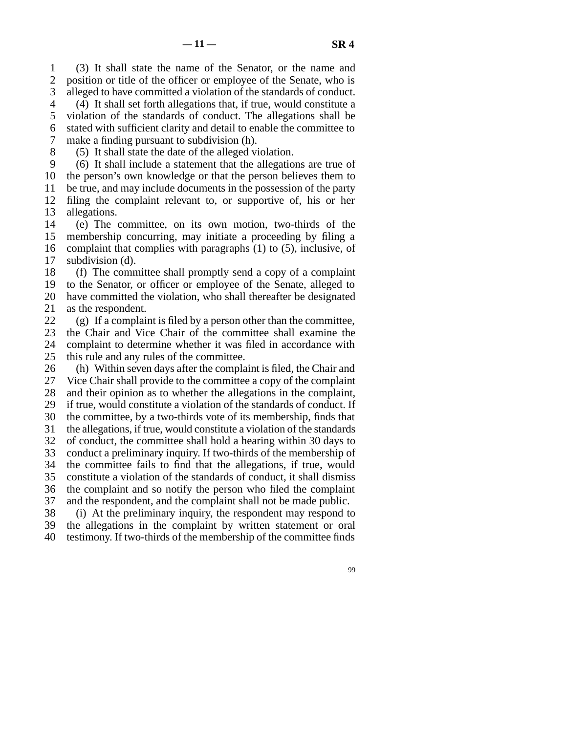line 1 (3) It shall state the name of the Senator, or the name and 2 position or title of the officer or employee of the Senate, who is 3 alleged to have committed a violation of the standards of conduct. 4 (4) It shall set forth allegations that, if true, would constitute a

5 violation of the standards of conduct. The allegations shall be line 6 stated with sufficient clarity and detail to enable the committee to 7 make a finding pursuant to subdivision (h).

8 (5) It shall state the date of the alleged violation.

9 (6) It shall include a statement that the allegations are true of 10 the person's own knowledge or that the person believes them to 11 be true, and may include documents in the possession of the party 12 filing the complaint relevant to, or supportive of, his or her

13 allegations.

14 (e) The committee, on its own motion, two-thirds of the 15 membership concurring, may initiate a proceeding by filing a 16 complaint that complies with paragraphs  $(1)$  to  $(5)$ , inclusive, of  $17$  subdivision (d).

18 (f) The committee shall promptly send a copy of a complaint 19 to the Senator, or officer or employee of the Senate, alleged to 20 have committed the violation, who shall thereafter be designated 21 as the respondent.

22 (g) If a complaint is filed by a person other than the committee,<br>23 the Chair and Vice Chair of the committee shall examine the the Chair and Vice Chair of the committee shall examine the 24 complaint to determine whether it was filed in accordance with 25 this rule and any rules of the committee. this rule and any rules of the committee.

26 (h) Within seven days after the complaint is filed, the Chair and 27 Vice Chair shall provide to the committee a copy of the complaint 28 and their opinion as to whether the allegations in the complaint, 29 if true, would constitute a violation of the standards of conduct. If 30 the committee, by a two-thirds vote of its membership, finds that 31 the allegations, if true, would constitute a violation of the standards 32 of conduct, the committee shall hold a hearing within 30 days to 33 conduct a preliminary inquiry. If two-thirds of the membership of 34 the committee fails to find that the allegations, if true, would 35 constitute a violation of the standards of conduct, it shall dismiss 36 the complaint and so notify the person who filed the complaint 37 and the respondent, and the complaint shall not be made public. 38 (i) At the preliminary inquiry, the respondent may respond to

39 the allegations in the complaint by written statement or oral 40 testimony. If two-thirds of the membership of the committee finds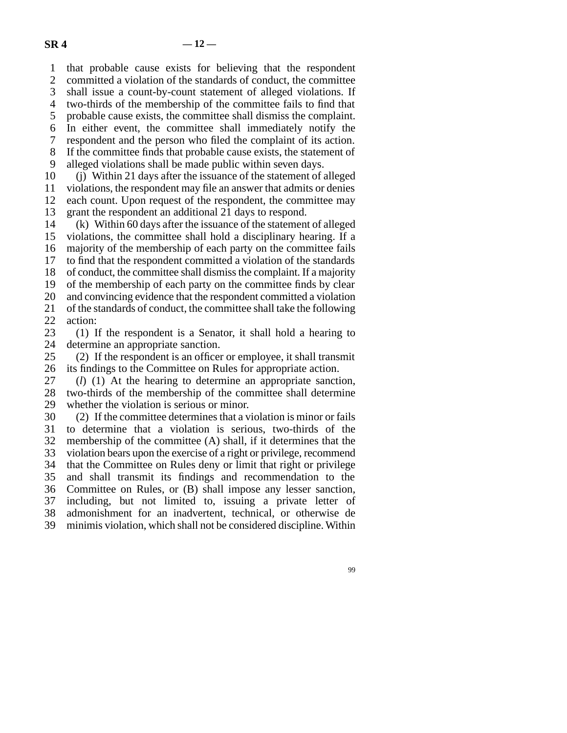line 1 that probable cause exists for believing that the respondent 2 committed a violation of the standards of conduct, the committee<br>3 shall issue a count-by-count statement of alleged violations. If shall issue a count-by-count statement of alleged violations. If 4 two-thirds of the membership of the committee fails to find that

5 probable cause exists, the committee shall dismiss the complaint. line 6 In either event, the committee shall immediately notify the

7 respondent and the person who filed the complaint of its action.

8 If the committee finds that probable cause exists, the statement of

9 alleged violations shall be made public within seven days.

10 (i) Within 21 days after the issuance of the statement of alleged

11 violations, the respondent may file an answer that admits or denies

12 each count. Upon request of the respondent, the committee may 13 grant the respondent an additional 21 days to respond.

14 (k) Within 60 days after the issuance of the statement of alleged 15 violations, the committee shall hold a disciplinary hearing. If a 16 majority of the membership of each party on the committee fails 17 to find that the respondent committed a violation of the standards 18 of conduct, the committee shall dismiss the complaint. If a majority 19 of the membership of each party on the committee finds by clear 20 and convincing evidence that the respondent committed a violation 21 of the standards of conduct, the committee shall take the following 22 action:

 $23$  (1) If the respondent is a Senator, it shall hold a hearing to 24 determine an appropriate sanction.<br>25 (2) If the respondent is an officer

 $\lambda$  (2) If the respondent is an officer or employee, it shall transmit 26 its findings to the Committee on Rules for appropriate action.

27 (*l*) (1) At the hearing to determine an appropriate sanction, 28 two-thirds of the membership of the committee shall determine 29 whether the violation is serious or minor.

30 (2) If the committee determines that a violation is minor or fails 31 to determine that a violation is serious, two-thirds of the 32 membership of the committee  $(A)$  shall, if it determines that the 33 violation bears upon the exercise of a right or privilege, recommend 34 that the Committee on Rules deny or limit that right or privilege 35 and shall transmit its findings and recommendation to the 36 Committee on Rules, or (B) shall impose any lesser sanction, 37 including, but not limited to, issuing a private letter of 38 admonishment for an inadvertent, technical, or otherwise de 39 minimis violation, which shall not be considered discipline. Within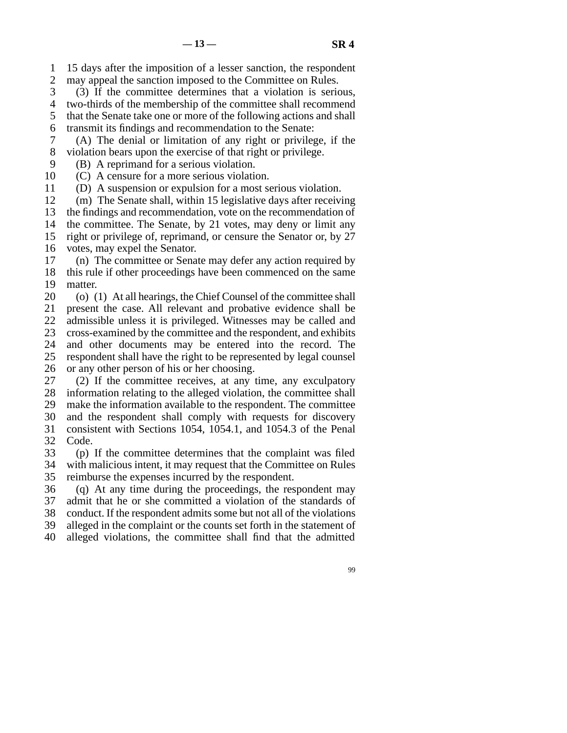1 15 days after the imposition of a lesser sanction, the respondent 2 may appeal the sanction imposed to the Committee on Rules.

3 (3) If the committee determines that a violation is serious,

4 two-thirds of the membership of the committee shall recommend 5 that the Senate take one or more of the following actions and shall

6 transmit its findings and recommendation to the Senate:

 line 7 (A) The denial or limitation of any right or privilege, if the 8 violation bears upon the exercise of that right or privilege.

9 (B) A reprimand for a serious violation.

10 (C) A censure for a more serious violation.

11 (D) A suspension or expulsion for a most serious violation.

12 (m) The Senate shall, within 15 legislative days after receiving 13 the findings and recommendation, vote on the recommendation of

14 the committee. The Senate, by 21 votes, may deny or limit any 15 right or privilege of, reprimand, or censure the Senator or, by 27 16 votes, may expel the Senator.

17 (n) The committee or Senate may defer any action required by 18 this rule if other proceedings have been commenced on the same 19 matter.

20 (o) (1) At all hearings, the Chief Counsel of the committee shall 21 present the case. All relevant and probative evidence shall be 22 admissible unless it is privileged. Witnesses may be called and 23 cross-examined by the committee and the respondent, and exhibits 24 and other documents may be entered into the record. The 25 respondent shall have the right to be represented by legal counsel respondent shall have the right to be represented by legal counsel 26 or any other person of his or her choosing.

27 (2) If the committee receives, at any time, any exculpatory 28 information relating to the alleged violation, the committee shall 29 make the information available to the respondent. The committee 30 and the respondent shall comply with requests for discovery 31 consistent with Sections 1054, 1054.1, and 1054.3 of the Penal 32 Code.

33 (p) If the committee determines that the complaint was filed 34 with malicious intent, it may request that the Committee on Rules 35 reimburse the expenses incurred by the respondent.

36 (q) At any time during the proceedings, the respondent may 37 admit that he or she committed a violation of the standards of 38 conduct. If the respondent admits some but not all of the violations 39 alleged in the complaint or the counts set forth in the statement of line 40 alleged violations, the committee shall find that the admitted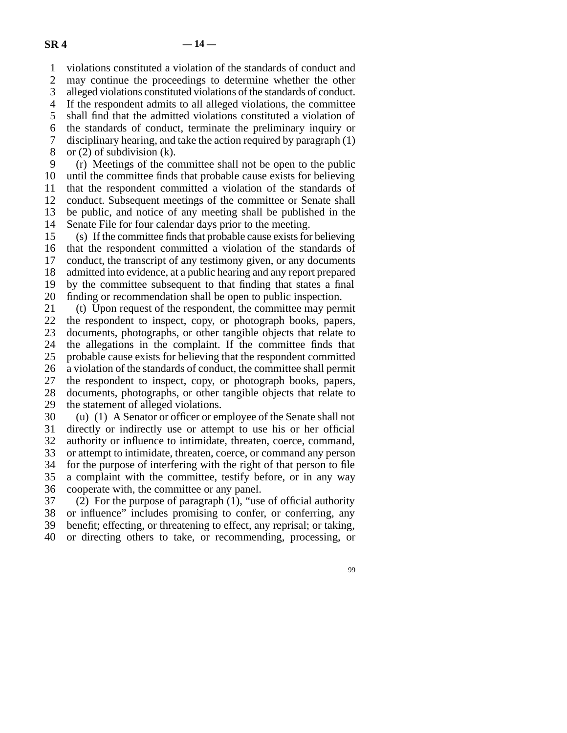line 1 violations constituted a violation of the standards of conduct and

2 may continue the proceedings to determine whether the other<br>3 alleged violations constituted violations of the standards of conduct. alleged violations constituted violations of the standards of conduct.

4 If the respondent admits to all alleged violations, the committee

5 shall find that the admitted violations constituted a violation of

6 the standards of conduct, terminate the preliminary inquiry or 7 disciplinary hearing, and take the action required by paragraph  $(1)$ 

8 or (2) of subdivision (k).

9 (r) Meetings of the committee shall not be open to the public 10 until the committee finds that probable cause exists for believing 11 that the respondent committed a violation of the standards of 12 conduct. Subsequent meetings of the committee or Senate shall 13 be public, and notice of any meeting shall be published in the 14 Senate File for four calendar days prior to the meeting.

15 (s) If the committee finds that probable cause exists for believing 16 that the respondent committed a violation of the standards of 17 conduct, the transcript of any testimony given, or any documents 18 admitted into evidence, at a public hearing and any report prepared 19 by the committee subsequent to that finding that states a final 20 finding or recommendation shall be open to public inspection.

21 (t) Upon request of the respondent, the committee may permit 22 the respondent to inspect, copy, or photograph books, papers, 23 documents, photographs, or other tangible objects that relate to 24 the allegations in the complaint. If the committee finds that 25 probable cause exists for believing that the respondent committed probable cause exists for believing that the respondent committed 26 a violation of the standards of conduct, the committee shall permit 27 the respondent to inspect, copy, or photograph books, papers, 28 documents, photographs, or other tangible objects that relate to 29 the statement of alleged violations.

30  $(u)$  (1) A Senator or officer or employee of the Senate shall not 31 directly or indirectly use or attempt to use his or her official 32 authority or influence to intimidate, threaten, coerce, command, 33 or attempt to intimidate, threaten, coerce, or command any person 34 for the purpose of interfering with the right of that person to file 35 a complaint with the committee, testify before, or in any way 36 cooperate with, the committee or any panel.

37 (2) For the purpose of paragraph  $(1)$ , "use of official authority 38 or influence" includes promising to confer, or conferring, any 39 benefit; effecting, or threatening to effect, any reprisal; or taking, line 40 or directing others to take, or recommending, processing, or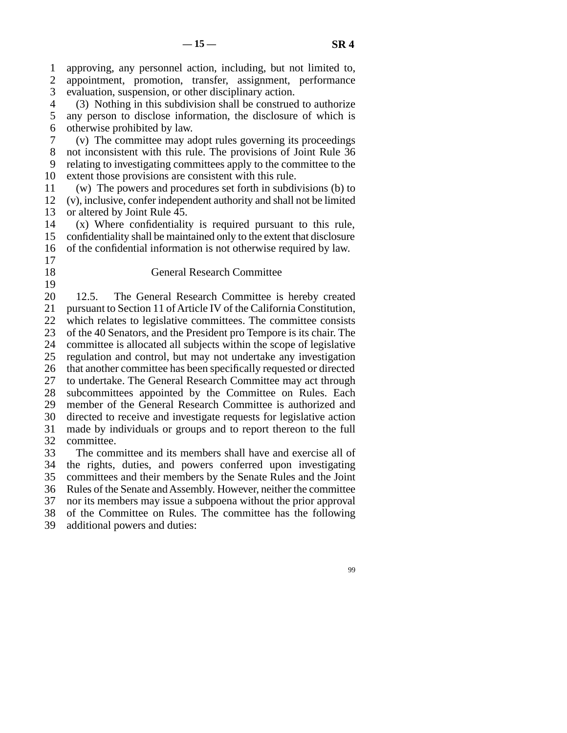1 approving, any personnel action, including, but not limited to, 2 appointment, promotion, transfer, assignment, performance 3 evaluation, suspension, or other disciplinary action. 4 (3) Nothing in this subdivision shall be construed to authorize 5 any person to disclose information, the disclosure of which is 6 otherwise prohibited by law. line 7 (v) The committee may adopt rules governing its proceedings

8 not inconsistent with this rule. The provisions of Joint Rule 36 line 9 relating to investigating committees apply to the committee to the 10 extent those provisions are consistent with this rule.

 $11$  (w) The powers and procedures set forth in subdivisions (b) to 12 (v), inclusive, confer independent authority and shall not be limited 13 or altered by Joint Rule 45.

14 (x) Where confidentiality is required pursuant to this rule, 15 confidentiality shall be maintained only to the extent that disclosure 16 of the confidential information is not otherwise required by law.

line 17

line 19

#### 18 General Research Committee

20 12.5. The General Research Committee is hereby created 21 pursuant to Section 11 of Article IV of the California Constitution, 22 which relates to legislative committees. The committee consists 23 of the 40 Senators, and the President pro Tempore is its chair. The 24 committee is allocated all subjects within the scope of legislative 25 regulation and control, but may not undertake any investigation regulation and control, but may not undertake any investigation 26 that another committee has been specifically requested or directed 27 to undertake. The General Research Committee may act through 28 subcommittees appointed by the Committee on Rules. Each 29 member of the General Research Committee is authorized and 30 directed to receive and investigate requests for legislative action 31 made by individuals or groups and to report thereon to the full 32 committee.

33 The committee and its members shall have and exercise all of 34 the rights, duties, and powers conferred upon investigating 35 committees and their members by the Senate Rules and the Joint 36 Rules of the Senate and Assembly. However, neither the committee 37 nor its members may issue a subpoena without the prior approval 38 of the Committee on Rules. The committee has the following 39 additional powers and duties: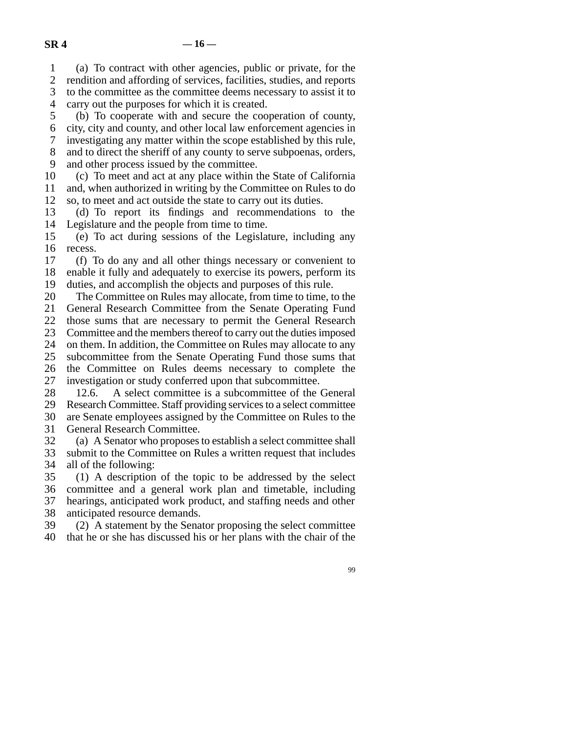line 1 (a) To contract with other agencies, public or private, for the

2 rendition and affording of services, facilities, studies, and reports<br>3 to the committee as the committee deems necessary to assist it to to the committee as the committee deems necessary to assist it to 4 carry out the purposes for which it is created.

5 (b) To cooperate with and secure the cooperation of county, 6 city, city and county, and other local law enforcement agencies in

line 7 investigating any matter within the scope established by this rule,

8 and to direct the sheriff of any county to serve subpoenas, orders,<br>9 and other process issued by the committee.

and other process issued by the committee.

10 (c) To meet and act at any place within the State of California 11 and, when authorized in writing by the Committee on Rules to do 12 so, to meet and act outside the state to carry out its duties.

13 (d) To report its findings and recommendations to the 14 Legislature and the people from time to time.

15 (e) To act during sessions of the Legislature, including any 16 recess.

17 (f) To do any and all other things necessary or convenient to 18 enable it fully and adequately to exercise its powers, perform its 19 duties, and accomplish the objects and purposes of this rule.

20 The Committee on Rules may allocate, from time to time, to the 21 General Research Committee from the Senate Operating Fund 22 those sums that are necessary to permit the General Research 23 Committee and the members thereof to carry out the duties imposed 24 on them. In addition, the Committee on Rules may allocate to any subcommittee from the Senate Operating Fund those sums that subcommittee from the Senate Operating Fund those sums that 26 the Committee on Rules deems necessary to complete the 27 investigation or study conferred upon that subcommittee.

28 12.6. A select committee is a subcommittee of the General 29 Research Committee. Staff providing services to a select committee 30 are Senate employees assigned by the Committee on Rules to the 31 General Research Committee.

32 (a) A Senator who proposes to establish a select committee shall 33 submit to the Committee on Rules a written request that includes 34 all of the following:

35 (1) A description of the topic to be addressed by the select 36 committee and a general work plan and timetable, including 37 hearings, anticipated work product, and staffing needs and other 38 anticipated resource demands.

39 (2) A statement by the Senator proposing the select committee 40 that he or she has discussed his or her plans with the chair of the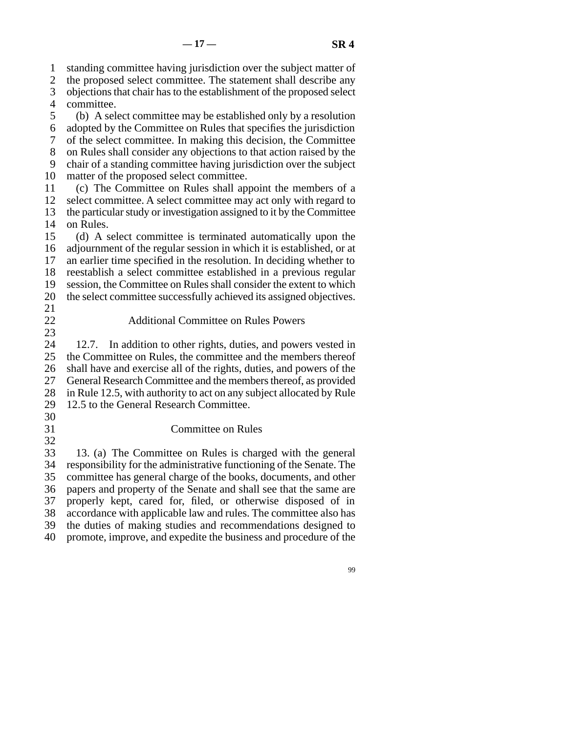1 standing committee having jurisdiction over the subject matter of 2 the proposed select committee. The statement shall describe any 3 objections that chair has to the establishment of the proposed select 4 committee. line 5 (b) A select committee may be established only by a resolution line 6 adopted by the Committee on Rules that specifies the jurisdiction 7 of the select committee. In making this decision, the Committee 8 on Rules shall consider any objections to that action raised by the 9 chair of a standing committee having jurisdiction over the subject 10 matter of the proposed select committee. line 11 (c) The Committee on Rules shall appoint the members of a 12 select committee. A select committee may act only with regard to 13 the particular study or investigation assigned to it by the Committee 14 on Rules. 15 (d) A select committee is terminated automatically upon the 16 adjournment of the regular session in which it is established, or at 17 an earlier time specified in the resolution. In deciding whether to 18 reestablish a select committee established in a previous regular 19 session, the Committee on Rules shall consider the extent to which 20 the select committee successfully achieved its assigned objectives.  $\frac{21}{22}$ Additional Committee on Rules Powers 23 24 12.7. In addition to other rights, duties, and powers vested in 25 the Committee on Rules, the committee and the members thereof the Committee on Rules, the committee and the members thereof 26 shall have and exercise all of the rights, duties, and powers of the 27 General Research Committee and the members thereof, as provided 28 in Rule 12.5, with authority to act on any subject allocated by Rule 29 12.5 to the General Research Committee. line 30 31 Committee on Rules  $\frac{32}{33}$ 13. (a) The Committee on Rules is charged with the general 34 responsibility for the administrative functioning of the Senate. The 35 committee has general charge of the books, documents, and other 36 papers and property of the Senate and shall see that the same are 37 properly kept, cared for, filed, or otherwise disposed of in 38 accordance with applicable law and rules. The committee also has 39 the duties of making studies and recommendations designed to

line 40 promote, improve, and expedite the business and procedure of the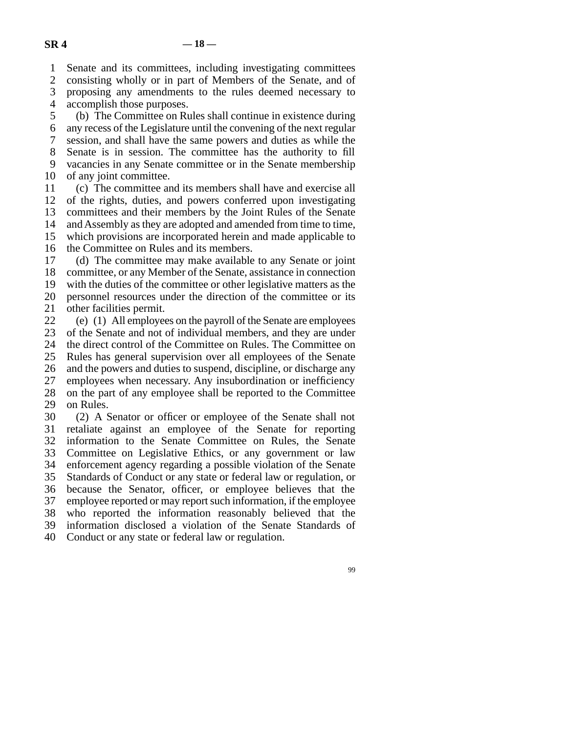line 1 Senate and its committees, including investigating committees

2 consisting wholly or in part of Members of the Senate, and of proposing any amendments to the rules deemed necessary to proposing any amendments to the rules deemed necessary to 4 accomplish those purposes.

 line 5 (b) The Committee on Rules shall continue in existence during 6 any recess of the Legislature until the convening of the next regular line 7 session, and shall have the same powers and duties as while the 8 Senate is in session. The committee has the authority to fill 9 vacancies in any Senate committee or in the Senate membership 10 of any joint committee.

 line 11 (c) The committee and its members shall have and exercise all 12 of the rights, duties, and powers conferred upon investigating 13 committees and their members by the Joint Rules of the Senate 14 and Assembly as they are adopted and amended from time to time, 15 which provisions are incorporated herein and made applicable to 16 the Committee on Rules and its members.

17 (d) The committee may make available to any Senate or joint 18 committee, or any Member of the Senate, assistance in connection 19 with the duties of the committee or other legislative matters as the 20 personnel resources under the direction of the committee or its 21 other facilities permit.

22 (e) (1) All employees on the payroll of the Senate are employees 23 of the Senate and not of individual members, and they are under of the Senate and not of individual members, and they are under 24 the direct control of the Committee on Rules. The Committee on 25 Rules has general supervision over all employees of the Senate Rules has general supervision over all employees of the Senate 26 and the powers and duties to suspend, discipline, or discharge any 27 employees when necessary. Any insubordination or inefficiency 28 on the part of any employee shall be reported to the Committee 29 on Rules.

30 (2) A Senator or officer or employee of the Senate shall not 31 retaliate against an employee of the Senate for reporting 32 information to the Senate Committee on Rules, the Senate 33 Committee on Legislative Ethics, or any government or law 34 enforcement agency regarding a possible violation of the Senate 35 Standards of Conduct or any state or federal law or regulation, or 36 because the Senator, officer, or employee believes that the 37 employee reported or may report such information, if the employee 38 who reported the information reasonably believed that the 39 information disclosed a violation of the Senate Standards of 40 Conduct or any state or federal law or regulation.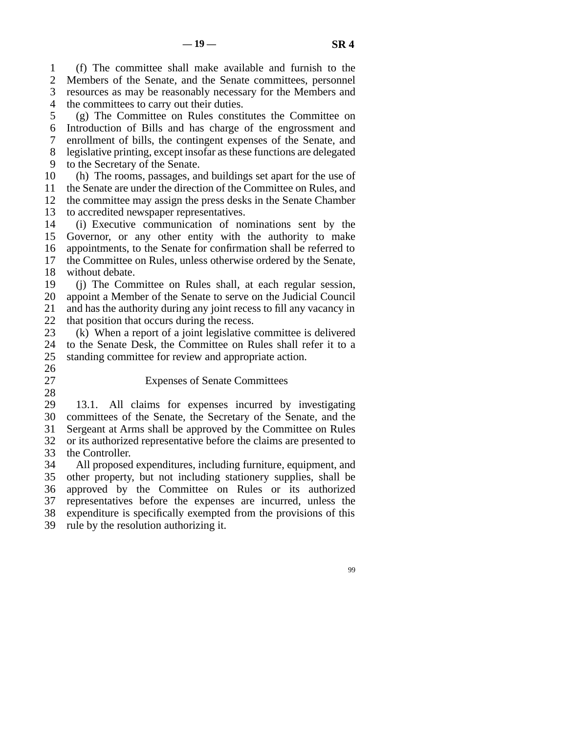line 1 (f) The committee shall make available and furnish to the 2 Members of the Senate, and the Senate committees, personnel 3 resources as may be reasonably necessary for the Members and 4 the committees to carry out their duties.

 line 5 (g) The Committee on Rules constitutes the Committee on 6 Introduction of Bills and has charge of the engrossment and 7 enrollment of bills, the contingent expenses of the Senate, and 8 legislative printing, except insofar as these functions are delegated 9 to the Secretary of the Senate.

10 (h) The rooms, passages, and buildings set apart for the use of

11 the Senate are under the direction of the Committee on Rules, and 12 the committee may assign the press desks in the Senate Chamber

13 to accredited newspaper representatives.

14 (i) Executive communication of nominations sent by the 15 Governor, or any other entity with the authority to make 16 appointments, to the Senate for confirmation shall be referred to 17 the Committee on Rules, unless otherwise ordered by the Senate, 18 without debate.

19 (j) The Committee on Rules shall, at each regular session, 20 appoint a Member of the Senate to serve on the Judicial Council

21 and has the authority during any joint recess to fill any vacancy in 22 that position that occurs during the recess.<br>23 (k) When a report of a joint legislative

 $(k)$  When a report of a joint legislative committee is delivered 24 to the Senate Desk, the Committee on Rules shall refer it to a 25 standing committee for review and appropriate action. standing committee for review and appropriate action.

 $\frac{26}{27}$ 

line 28

### **Expenses of Senate Committees**

29 13.1. All claims for expenses incurred by investigating 30 committees of the Senate, the Secretary of the Senate, and the 31 Sergeant at Arms shall be approved by the Committee on Rules 32 or its authorized representative before the claims are presented to 33 the Controller.

34 All proposed expenditures, including furniture, equipment, and 35 other property, but not including stationery supplies, shall be 36 approved by the Committee on Rules or its authorized 37 representatives before the expenses are incurred, unless the 38 expenditure is specifically exempted from the provisions of this 39 rule by the resolution authorizing it.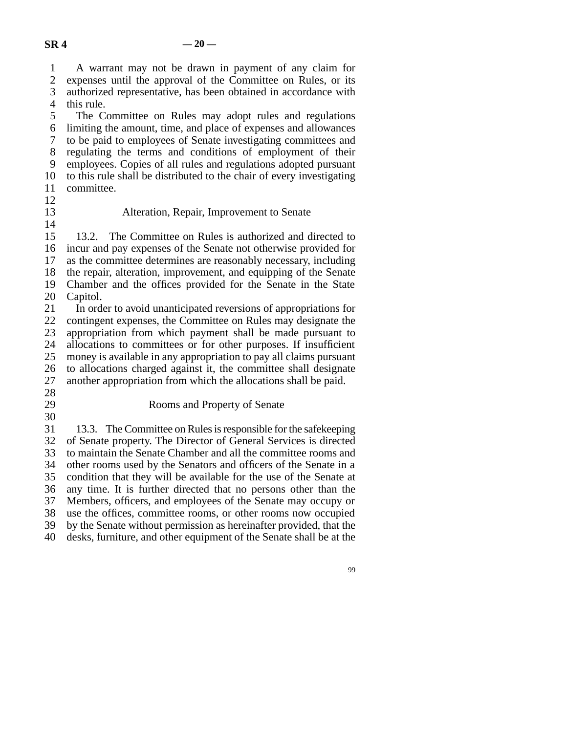line 1 A warrant may not be drawn in payment of any claim for 2 expenses until the approval of the Committee on Rules, or its<br>3 authorized representative, has been obtained in accordance with authorized representative, has been obtained in accordance with 4 this rule.

5 The Committee on Rules may adopt rules and regulations line 6 limiting the amount, time, and place of expenses and allowances line 7 to be paid to employees of Senate investigating committees and 8 regulating the terms and conditions of employment of their 9 employees. Copies of all rules and regulations adopted pursuant 10 to this rule shall be distributed to the chair of every investigating 11 committee.

- $12$
- 

### 13 Alteration, Repair, Improvement to Senate

 $\frac{14}{15}$ 13.2. The Committee on Rules is authorized and directed to 16 incur and pay expenses of the Senate not otherwise provided for 17 as the committee determines are reasonably necessary, including 18 the repair, alteration, improvement, and equipping of the Senate 19 Chamber and the offices provided for the Senate in the State 20 Capitol.

21 In order to avoid unanticipated reversions of appropriations for 22 contingent expenses, the Committee on Rules may designate the<br>23 appropriation from which payment shall be made pursuant to appropriation from which payment shall be made pursuant to 24 allocations to committees or for other purposes. If insufficient 25 money is available in any appropriation to pay all claims pursuant money is available in any appropriation to pay all claims pursuant 26 to allocations charged against it, the committee shall designate 27 another appropriation from which the allocations shall be paid.

28<br>29

# Rooms and Property of Senate

 line 30 31 13.3. The Committee on Rules is responsible for the safekeeping 32 of Senate property. The Director of General Services is directed 33 to maintain the Senate Chamber and all the committee rooms and 34 other rooms used by the Senators and officers of the Senate in a 35 condition that they will be available for the use of the Senate at 36 any time. It is further directed that no persons other than the 37 Members, officers, and employees of the Senate may occupy or 38 use the offices, committee rooms, or other rooms now occupied 39 by the Senate without permission as hereinafter provided, that the line 40 desks, furniture, and other equipment of the Senate shall be at the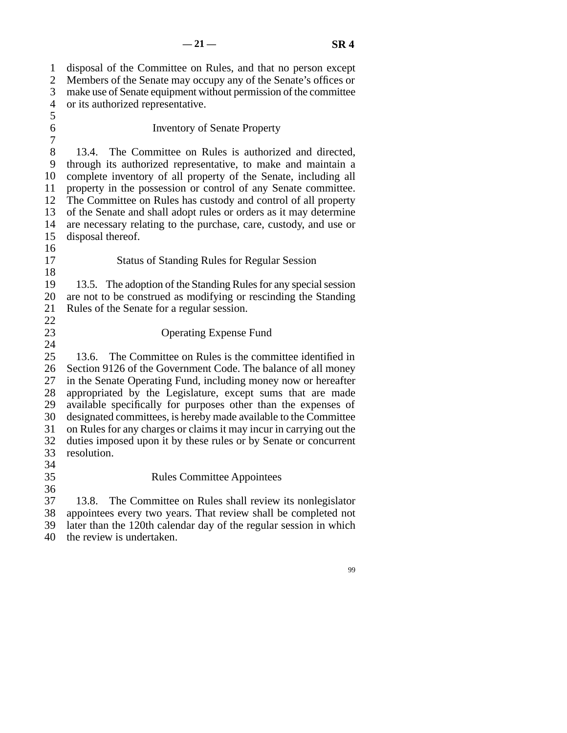line 1 disposal of the Committee on Rules, and that no person except 2 Members of the Senate may occupy any of the Senate's offices or 3 make use of Senate equipment without permission of the committee 4 or its authorized representative.  $\mathfrak{S}$  line 6 Inventory of Senate Property  $\overline{7}$ 8 13.4. The Committee on Rules is authorized and directed, line 9 through its authorized representative, to make and maintain a 10 complete inventory of all property of the Senate, including all 11 property in the possession or control of any Senate committee. 12 The Committee on Rules has custody and control of all property 13 of the Senate and shall adopt rules or orders as it may determine 14 are necessary relating to the purchase, care, custody, and use or 15 disposal thereof. 16 17 Status of Standing Rules for Regular Session line 18 19 13.5. The adoption of the Standing Rules for any special session 20 are not to be construed as modifying or rescinding the Standing 21 Rules of the Senate for a regular session.  $\frac{22}{23}$ **Operating Expense Fund**  $\frac{24}{25}$ 13.6. The Committee on Rules is the committee identified in 26 Section 9126 of the Government Code. The balance of all money 27 in the Senate Operating Fund, including money now or hereafter 28 appropriated by the Legislature, except sums that are made 29 available specifically for purposes other than the expenses of line 30 designated committees, is hereby made available to the Committee 31 on Rules for any charges or claims it may incur in carrying out the 32 duties imposed upon it by these rules or by Senate or concurrent 33 resolution. line 34 line 35 Rules Committee Appointees line 36 37 13.8. The Committee on Rules shall review its nonlegislator 38 appointees every two years. That review shall be completed not

39 later than the 120th calendar day of the regular session in which

40 the review is undertaken.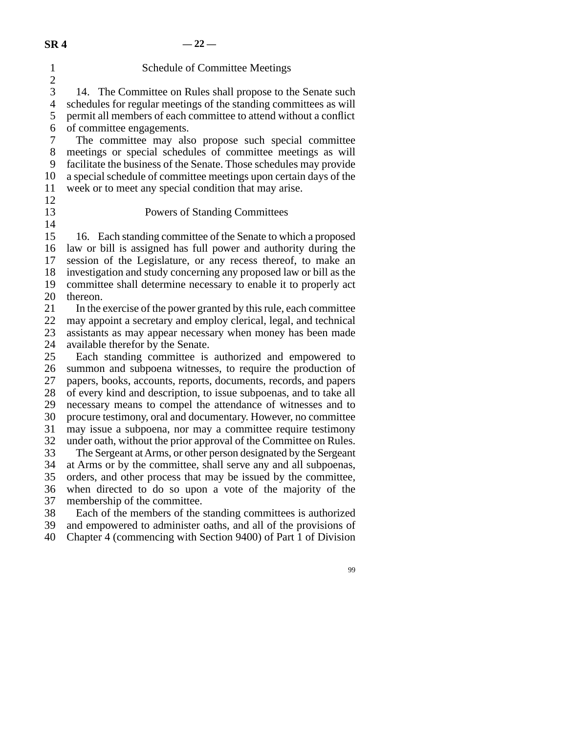| $\mathbf{1}$   | <b>Schedule of Committee Meetings</b>                                                                                                                          |
|----------------|----------------------------------------------------------------------------------------------------------------------------------------------------------------|
| $\frac{2}{3}$  |                                                                                                                                                                |
|                | 14. The Committee on Rules shall propose to the Senate such                                                                                                    |
| $\overline{4}$ | schedules for regular meetings of the standing committees as will                                                                                              |
| 5              | permit all members of each committee to attend without a conflict                                                                                              |
| 6              | of committee engagements.                                                                                                                                      |
| 7              | The committee may also propose such special committee                                                                                                          |
| 8              | meetings or special schedules of committee meetings as will                                                                                                    |
| 9              | facilitate the business of the Senate. Those schedules may provide                                                                                             |
| 10             | a special schedule of committee meetings upon certain days of the                                                                                              |
| 11             | week or to meet any special condition that may arise.                                                                                                          |
| 12             |                                                                                                                                                                |
| 13             | <b>Powers of Standing Committees</b>                                                                                                                           |
| 14             |                                                                                                                                                                |
| 15             | 16. Each standing committee of the Senate to which a proposed                                                                                                  |
| 16             | law or bill is assigned has full power and authority during the                                                                                                |
| 17             | session of the Legislature, or any recess thereof, to make an                                                                                                  |
| 18             | investigation and study concerning any proposed law or bill as the                                                                                             |
| 19             | committee shall determine necessary to enable it to properly act                                                                                               |
| 20             | thereon.                                                                                                                                                       |
| 21             | In the exercise of the power granted by this rule, each committee                                                                                              |
| 22             | may appoint a secretary and employ clerical, legal, and technical                                                                                              |
| 23             | assistants as may appear necessary when money has been made                                                                                                    |
| 24             | available therefor by the Senate.<br>$\mathbf{E}$ and the distribution of $\mathbf{H}$ and $\mathbf{H}$ and $\mathbf{H}$ and $\mathbf{H}$ are continued to the |
| n F            |                                                                                                                                                                |

 $-22 - 22$ 

25 Each standing committee is authorized and empowered to 26 summon and subpoena witnesses, to require the production of 27 papers, books, accounts, reports, documents, records, and papers 28 of every kind and description, to issue subpoenas, and to take all 29 necessary means to compel the attendance of witnesses and to 30 procure testimony, oral and documentary. However, no committee 31 may issue a subpoena, nor may a committee require testimony 32 under oath, without the prior approval of the Committee on Rules.<br>33 The Sergeant at Arms, or other person designated by the Sergeant The Sergeant at Arms, or other person designated by the Sergeant 34 at Arms or by the committee, shall serve any and all subpoenas, 35 orders, and other process that may be issued by the committee, 36 when directed to do so upon a vote of the majority of the 37 membership of the committee.

Each of the members of the standing committees is authorized<br>39 and empowered to administer oaths, and all of the provisions of and empowered to administer oaths, and all of the provisions of

40 Chapter 4 (commencing with Section 9400) of Part 1 of Division

99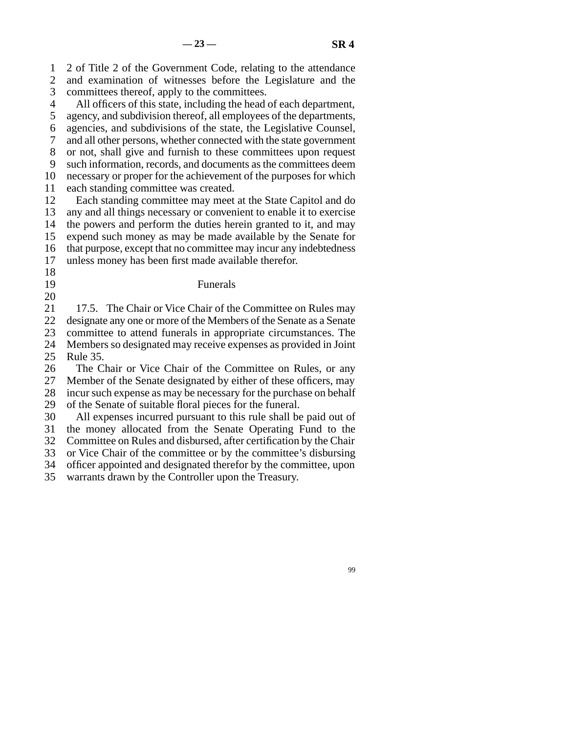line 1 2 of Title 2 of the Government Code, relating to the attendance 2 and examination of witnesses before the Legislature and the 3 committees thereof, apply to the committees.

4 All officers of this state, including the head of each department, 5 agency, and subdivision thereof, all employees of the departments, line 6 agencies, and subdivisions of the state, the Legislative Counsel, line 7 and all other persons, whether connected with the state government 8 or not, shall give and furnish to these committees upon request 9 such information, records, and documents as the committees deem 10 necessary or proper for the achievement of the purposes for which 11 each standing committee was created.

12 Each standing committee may meet at the State Capitol and do 13 any and all things necessary or convenient to enable it to exercise 14 the powers and perform the duties herein granted to it, and may 15 expend such money as may be made available by the Senate for 16 that purpose, except that no committee may incur any indebtedness 17 unless money has been first made available therefor.

line 18

20

### 19 Funerals

21 17.5. The Chair or Vice Chair of the Committee on Rules may 22 designate any one or more of the Members of the Senate as a Senate 23 committee to attend funerals in appropriate circumstances. The 24 Members so designated may receive expenses as provided in Joint 25 Rule 35.

Rule 35.

26 The Chair or Vice Chair of the Committee on Rules, or any 27 Member of the Senate designated by either of these officers, may

28 incur such expense as may be necessary for the purchase on behalf

29 of the Senate of suitable floral pieces for the funeral.

30 All expenses incurred pursuant to this rule shall be paid out of

31 the money allocated from the Senate Operating Fund to the

32 Committee on Rules and disbursed, after certification by the Chair

33 or Vice Chair of the committee or by the committee's disbursing

34 officer appointed and designated therefor by the committee, upon

35 warrants drawn by the Controller upon the Treasury.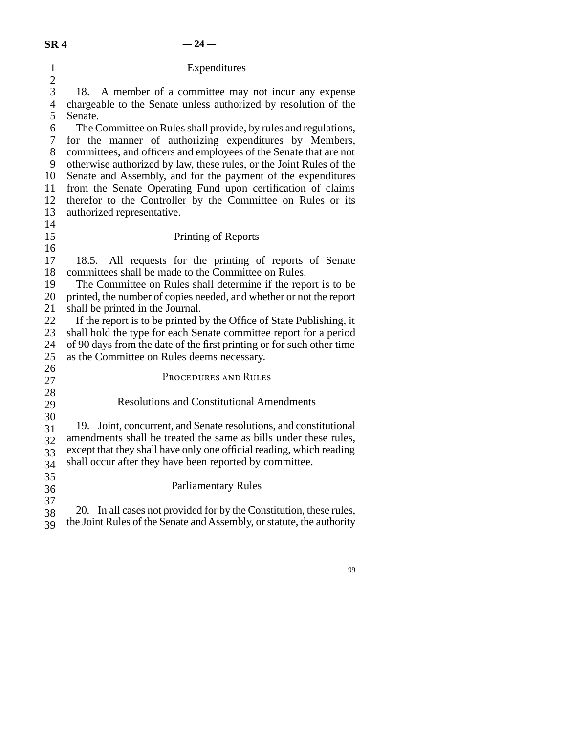| SR <sub>4</sub>     | $-24-$                                                                                                                          |
|---------------------|---------------------------------------------------------------------------------------------------------------------------------|
| $\mathbf{1}$        | Expenditures                                                                                                                    |
| $\overline{2}$<br>3 | A member of a committee may not incur any expense<br>18.                                                                        |
| $\overline{4}$      | chargeable to the Senate unless authorized by resolution of the                                                                 |
| 5                   | Senate.                                                                                                                         |
| 6                   | The Committee on Rules shall provide, by rules and regulations,                                                                 |
| 7                   | for the manner of authorizing expenditures by Members,                                                                          |
| 8                   | committees, and officers and employees of the Senate that are not                                                               |
| 9                   | otherwise authorized by law, these rules, or the Joint Rules of the                                                             |
| 10                  | Senate and Assembly, and for the payment of the expenditures                                                                    |
| 11                  | from the Senate Operating Fund upon certification of claims                                                                     |
| 12                  | therefor to the Controller by the Committee on Rules or its                                                                     |
| 13                  | authorized representative.                                                                                                      |
| 14                  |                                                                                                                                 |
| 15                  | Printing of Reports                                                                                                             |
| 16                  |                                                                                                                                 |
| 17                  | All requests for the printing of reports of Senate<br>18.5.                                                                     |
| 18                  | committees shall be made to the Committee on Rules.                                                                             |
| 19                  | The Committee on Rules shall determine if the report is to be                                                                   |
| 20<br>21            | printed, the number of copies needed, and whether or not the report<br>shall be printed in the Journal.                         |
| 22                  | If the report is to be printed by the Office of State Publishing, it                                                            |
| 23                  | shall hold the type for each Senate committee report for a period                                                               |
| 24                  | of 90 days from the date of the first printing or for such other time                                                           |
| 25                  | as the Committee on Rules deems necessary.                                                                                      |
| 26                  |                                                                                                                                 |
| 27                  | PROCEDURES AND RULES                                                                                                            |
| 28                  |                                                                                                                                 |
| 29                  | <b>Resolutions and Constitutional Amendments</b>                                                                                |
| 30                  |                                                                                                                                 |
| 31                  | 19. Joint, concurrent, and Senate resolutions, and constitutional                                                               |
| 32                  | amendments shall be treated the same as bills under these rules,                                                                |
| 33                  | except that they shall have only one official reading, which reading<br>shall occur after they have been reported by committee. |
| 34                  |                                                                                                                                 |
| 35                  | <b>Parliamentary Rules</b>                                                                                                      |
| 36                  |                                                                                                                                 |
| 37<br>38            | In all cases not provided for by the Constitution, these rules,<br>20.                                                          |
| 39                  | the Joint Rules of the Senate and Assembly, or statute, the authority                                                           |
|                     |                                                                                                                                 |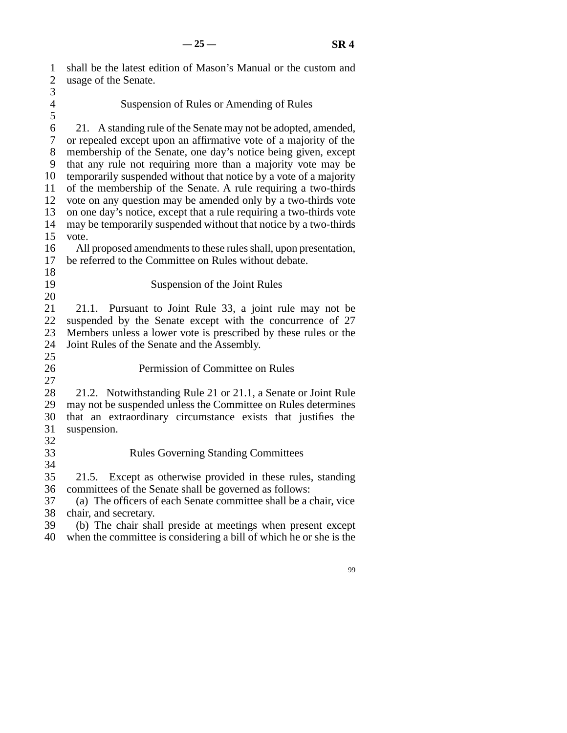line 1 shall be the latest edition of Mason's Manual or the custom and 2 usage of the Senate.  $\mathfrak{Z}$ 4 Suspension of Rules or Amending of Rules  $5\overline{)}$  line 6 21. A standing rule of the Senate may not be adopted, amended, line 7 or repealed except upon an affirmative vote of a majority of the 8 membership of the Senate, one day's notice being given, except 9 that any rule not requiring more than a majority vote may be 10 temporarily suspended without that notice by a vote of a majority 11 of the membership of the Senate. A rule requiring a two-thirds 12 vote on any question may be amended only by a two-thirds vote 13 on one day's notice, except that a rule requiring a two-thirds vote 14 may be temporarily suspended without that notice by a two-thirds 15 vote. 16 All proposed amendments to these rules shall, upon presentation, 17 be referred to the Committee on Rules without debate. line 18 19 Suspension of the Joint Rules 20 21 21.1. Pursuant to Joint Rule 33, a joint rule may not be 22 suspended by the Senate except with the concurrence of 27 23 Members unless a lower vote is prescribed by these rules or the 24 Joint Rules of the Senate and the Assembly. 25 26 **Permission of Committee on Rules**  $\frac{27}{28}$ 21.2. Notwithstanding Rule 21 or 21.1, a Senate or Joint Rule 29 may not be suspended unless the Committee on Rules determines 30 that an extraordinary circumstance exists that justifies the 31 suspension.  $\frac{32}{33}$ Rules Governing Standing Committees  $34$ 35 21.5. Except as otherwise provided in these rules, standing 36 committees of the Senate shall be governed as follows: line 37 (a) The officers of each Senate committee shall be a chair, vice 38 chair, and secretary. 39 (b) The chair shall preside at meetings when present except 40 when the committee is considering a bill of which he or she is the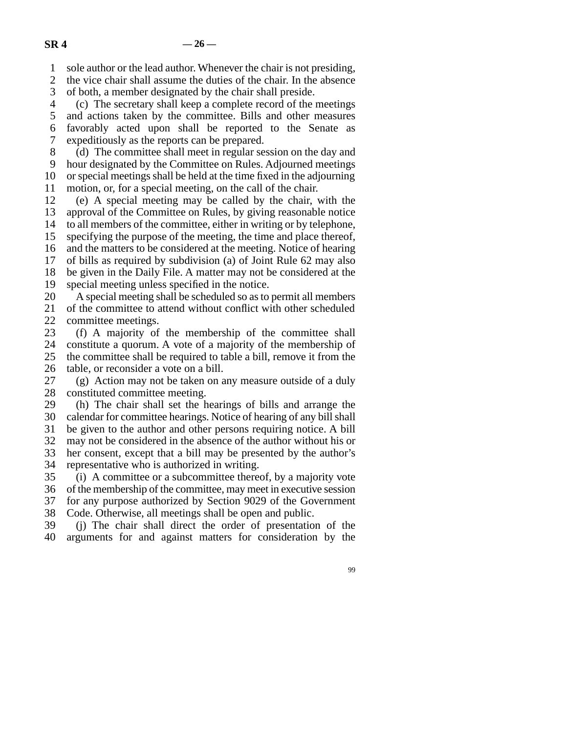1 sole author or the lead author. Whenever the chair is not presiding,

2 the vice chair shall assume the duties of the chair. In the absence 3 of both, a member designated by the chair shall preside.

of both, a member designated by the chair shall preside.

 line 4 (c) The secretary shall keep a complete record of the meetings 5 and actions taken by the committee. Bills and other measures 6 favorably acted upon shall be reported to the Senate as 7 expeditiously as the reports can be prepared.

8 (d) The committee shall meet in regular session on the day and 9 hour designated by the Committee on Rules. Adjourned meetings 10 or special meetings shall be held at the time fixed in the adjourning 11 motion, or, for a special meeting, on the call of the chair.

12 (e) A special meeting may be called by the chair, with the 13 approval of the Committee on Rules, by giving reasonable notice 14 to all members of the committee, either in writing or by telephone, 15 specifying the purpose of the meeting, the time and place thereof, 16 and the matters to be considered at the meeting. Notice of hearing 17 of bills as required by subdivision (a) of Joint Rule  $62$  may also 18 be given in the Daily File. A matter may not be considered at the

19 special meeting unless specified in the notice.

20 A special meeting shall be scheduled so as to permit all members 21 of the committee to attend without conflict with other scheduled 22 committee meetings.<br>23 (f) A majority of

 $\lambda$  majority of the membership of the committee shall 24 constitute a quorum. A vote of a majority of the membership of 25 the committee shall be required to table a bill, remove it from the the committee shall be required to table a bill, remove it from the 26 table, or reconsider a vote on a bill.

27 (g) Action may not be taken on any measure outside of a duly 28 constituted committee meeting.

29 (h) The chair shall set the hearings of bills and arrange the 30 calendar for committee hearings. Notice of hearing of any bill shall 31 be given to the author and other persons requiring notice. A bill

32 may not be considered in the absence of the author without his or 33 her consent, except that a bill may be presented by the author's

34 representative who is authorized in writing.

35 (i) A committee or a subcommittee thereof, by a majority vote 36 of the membership of the committee, may meet in executive session 37 for any purpose authorized by Section 9029 of the Government 38 Code. Otherwise, all meetings shall be open and public.

39 (i) The chair shall direct the order of presentation of the 40 arguments for and against matters for consideration by the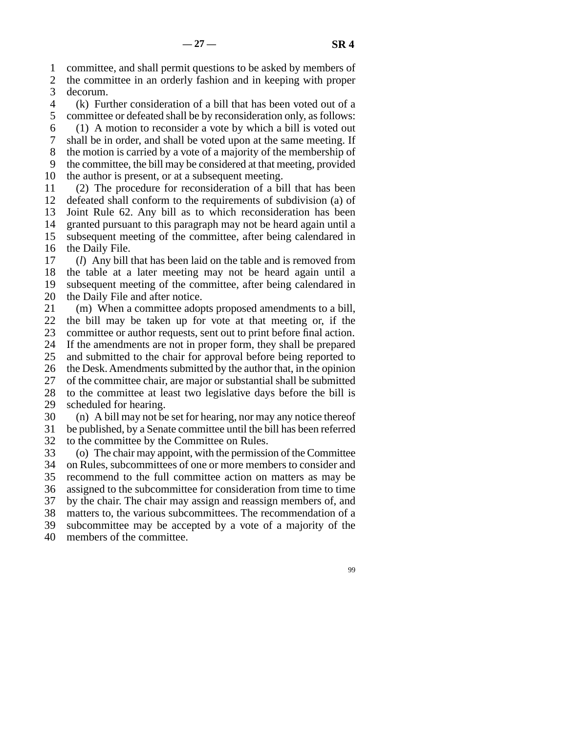1 committee, and shall permit questions to be asked by members of

2 the committee in an orderly fashion and in keeping with proper 3 decorum. decorum.

4 (k) Further consideration of a bill that has been voted out of a 5 committee or defeated shall be by reconsideration only, as follows:

 $\delta$  (1) A motion to reconsider a vote by which a bill is voted out

7 shall be in order, and shall be voted upon at the same meeting. If

8 the motion is carried by a vote of a majority of the membership of

line 9 the committee, the bill may be considered at that meeting, provided

10 the author is present, or at a subsequent meeting.

11 (2) The procedure for reconsideration of a bill that has been 12 defeated shall conform to the requirements of subdivision (a) of 13 Joint Rule 62. Any bill as to which reconsideration has been 14 granted pursuant to this paragraph may not be heard again until a

15 subsequent meeting of the committee, after being calendared in 16 the Daily File.

17 (*l*) Any bill that has been laid on the table and is removed from 18 the table at a later meeting may not be heard again until a 19 subsequent meeting of the committee, after being calendared in 20 the Daily File and after notice.

21 (m) When a committee adopts proposed amendments to a bill, 22 the bill may be taken up for vote at that meeting or, if the 23 committee or author requests, sent out to print before final action. 24 If the amendments are not in proper form, they shall be prepared 25 and submitted to the chair for approval before being reported to and submitted to the chair for approval before being reported to 26 the Desk. Amendments submitted by the author that, in the opinion 27 of the committee chair, are major or substantial shall be submitted 28 to the committee at least two legislative days before the bill is 29 scheduled for hearing.

30 (n) A bill may not be set for hearing, nor may any notice thereof 31 be published, by a Senate committee until the bill has been referred 32 to the committee by the Committee on Rules.

33 (o) The chair may appoint, with the permission of the Committee 34 on Rules, subcommittees of one or more members to consider and 35 recommend to the full committee action on matters as may be 36 assigned to the subcommittee for consideration from time to time 37 by the chair. The chair may assign and reassign members of, and 38 matters to, the various subcommittees. The recommendation of a 39 subcommittee may be accepted by a vote of a majority of the 40 members of the committee.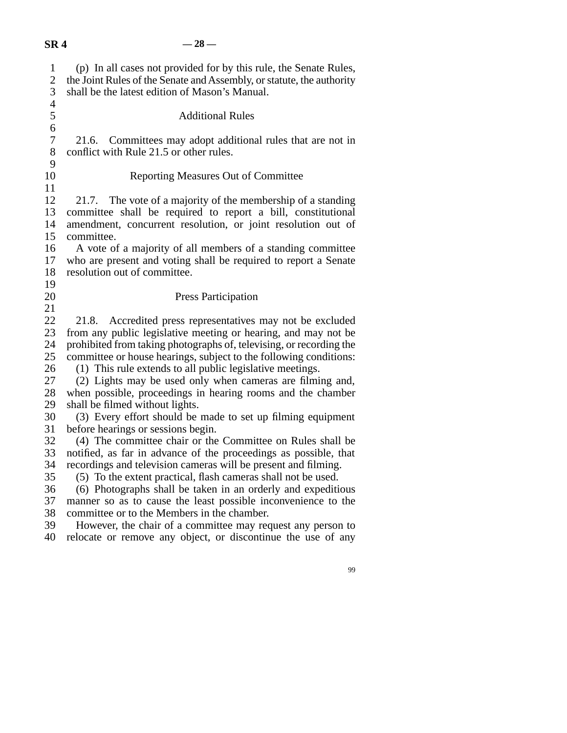| $\mathbf{1}$   | (p) In all cases not provided for by this rule, the Senate Rules,                                                             |
|----------------|-------------------------------------------------------------------------------------------------------------------------------|
| $\overline{2}$ | the Joint Rules of the Senate and Assembly, or statute, the authority                                                         |
| 3              | shall be the latest edition of Mason's Manual.                                                                                |
| $\overline{4}$ |                                                                                                                               |
| 5              | <b>Additional Rules</b>                                                                                                       |
| 6              |                                                                                                                               |
| $\overline{7}$ | Committees may adopt additional rules that are not in<br>21.6.                                                                |
| $8\,$          | conflict with Rule 21.5 or other rules.                                                                                       |
| 9              |                                                                                                                               |
| 10             | <b>Reporting Measures Out of Committee</b>                                                                                    |
| 11             |                                                                                                                               |
| 12             | 21.7. The vote of a majority of the membership of a standing                                                                  |
| 13             | committee shall be required to report a bill, constitutional                                                                  |
| 14             | amendment, concurrent resolution, or joint resolution out of                                                                  |
| 15             | committee.                                                                                                                    |
| 16             | A vote of a majority of all members of a standing committee                                                                   |
| 17             | who are present and voting shall be required to report a Senate                                                               |
| 18             | resolution out of committee.                                                                                                  |
|                |                                                                                                                               |
| 19             |                                                                                                                               |
| 20             | <b>Press Participation</b>                                                                                                    |
| 21             |                                                                                                                               |
| 22             | Accredited press representatives may not be excluded<br>21.8.                                                                 |
| 23             | from any public legislative meeting or hearing, and may not be                                                                |
| 24             | prohibited from taking photographs of, televising, or recording the                                                           |
| 25             | committee or house hearings, subject to the following conditions:                                                             |
| 26             | (1) This rule extends to all public legislative meetings.                                                                     |
| 27             | (2) Lights may be used only when cameras are filming and,                                                                     |
| 28             | when possible, proceedings in hearing rooms and the chamber                                                                   |
| 29             | shall be filmed without lights.                                                                                               |
| 30             | (3) Every effort should be made to set up filming equipment                                                                   |
| 31             | before hearings or sessions begin.                                                                                            |
| 32             | (4) The committee chair or the Committee on Rules shall be                                                                    |
| 33             | notified, as far in advance of the proceedings as possible, that                                                              |
| 34             | recordings and television cameras will be present and filming.                                                                |
| 35<br>36       | (5) To the extent practical, flash cameras shall not be used.<br>(6) Photographs shall be taken in an orderly and expeditious |

37 manner so as to cause the least possible inconvenience to the 38 committee or to the Members in the chamber. 38 committee or to the Members in the chamber.<br>39 However, the chair of a committee may req

However, the chair of a committee may request any person to 40 relocate or remove any object, or discontinue the use of any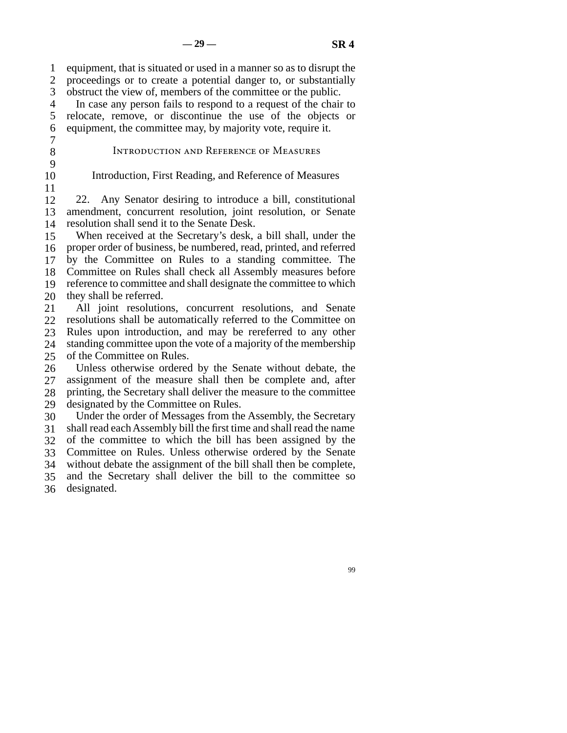line 1 equipment, that is situated or used in a manner so as to disrupt the 2 proceedings or to create a potential danger to, or substantially 3 obstruct the view of, members of the committee or the public.

 line 4 In case any person fails to respond to a request of the chair to 5 relocate, remove, or discontinue the use of the objects or 6 equipment, the committee may, by majority vote, require it.

 $\tau$ 

 $\overline{9}$ 

8 INTRODUCTION AND REFERENCE OF MEASURES

10 Introduction, First Reading, and Reference of Measures

 $\frac{11}{12}$ 22. Any Senator desiring to introduce a bill, constitutional 13 amendment, concurrent resolution, joint resolution, or Senate 14 resolution shall send it to the Senate Desk.

15 When received at the Secretary's desk, a bill shall, under the 16 proper order of business, be numbered, read, printed, and referred 17 by the Committee on Rules to a standing committee. The 18 Committee on Rules shall check all Assembly measures before 19 reference to committee and shall designate the committee to which 20 they shall be referred.

21 All joint resolutions, concurrent resolutions, and Senate 22 resolutions shall be automatically referred to the Committee on 23 Rules upon introduction, and may be rereferred to any other 24 standing committee upon the vote of a majority of the membership<br>25 of the Committee on Rules. of the Committee on Rules.

26 Unless otherwise ordered by the Senate without debate, the 27 assignment of the measure shall then be complete and, after assignment of the measure shall then be complete and, after 28 printing, the Secretary shall deliver the measure to the committee 29 designated by the Committee on Rules.

30 Under the order of Messages from the Assembly, the Secretary 31 shall read each Assembly bill the first time and shall read the name 32 of the committee to which the bill has been assigned by the 33 Committee on Rules. Unless otherwise ordered by the Senate 34 without debate the assignment of the bill shall then be complete. 35 and the Secretary shall deliver the bill to the committee so

36 designated.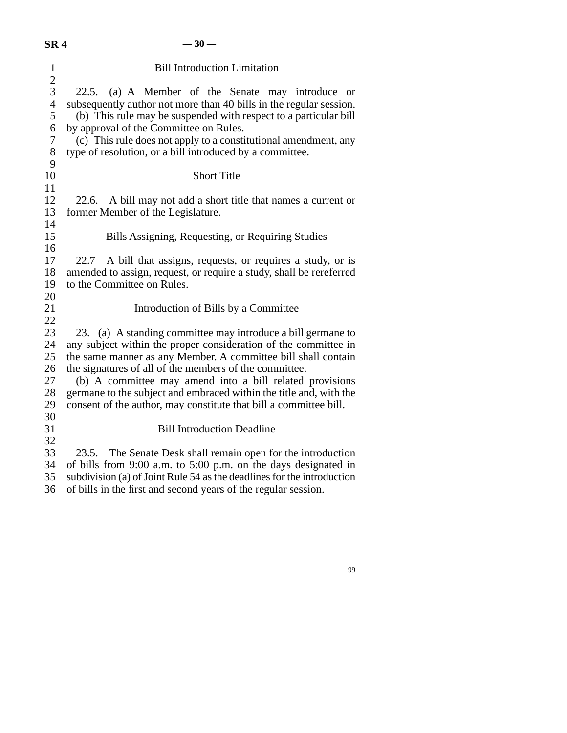| SR <sub>4</sub> | $-30-$                                                                                                             |
|-----------------|--------------------------------------------------------------------------------------------------------------------|
| $\mathbf{1}$    | <b>Bill Introduction Limitation</b>                                                                                |
| $\frac{2}{3}$   |                                                                                                                    |
|                 | 22.5. (a) A Member of the Senate may introduce or                                                                  |
| $\overline{4}$  | subsequently author not more than 40 bills in the regular session.                                                 |
| 5               | (b) This rule may be suspended with respect to a particular bill                                                   |
| 6               | by approval of the Committee on Rules.                                                                             |
| 7               | (c) This rule does not apply to a constitutional amendment, any                                                    |
| 8<br>9          | type of resolution, or a bill introduced by a committee.                                                           |
| 10              | <b>Short Title</b>                                                                                                 |
| 11              |                                                                                                                    |
| 12              | A bill may not add a short title that names a current or<br>22.6.                                                  |
| 13              | former Member of the Legislature.                                                                                  |
| 14              |                                                                                                                    |
| 15              | Bills Assigning, Requesting, or Requiring Studies                                                                  |
| 16              |                                                                                                                    |
| 17              | A bill that assigns, requests, or requires a study, or is<br>22.7                                                  |
| 18              | amended to assign, request, or require a study, shall be rereferred                                                |
| 19              | to the Committee on Rules.                                                                                         |
| 20              |                                                                                                                    |
| 21              | Introduction of Bills by a Committee                                                                               |
| 22              |                                                                                                                    |
| 23              | 23. (a) A standing committee may introduce a bill germane to                                                       |
| 24              | any subject within the proper consideration of the committee in                                                    |
| 25<br>26        | the same manner as any Member. A committee bill shall contain                                                      |
| 27              | the signatures of all of the members of the committee.<br>(b) A committee may amend into a bill related provisions |
| 28              | germane to the subject and embraced within the title and, with the                                                 |
| 29              | consent of the author, may constitute that bill a committee bill.                                                  |
| 30              |                                                                                                                    |
| 31              | <b>Bill Introduction Deadline</b>                                                                                  |
| 32              |                                                                                                                    |
| 33              | 23.5. The Senate Desk shall remain open for the introduction                                                       |
| 34              | of bills from 9:00 a.m. to 5:00 p.m. on the days designated in                                                     |
| 35              | subdivision (a) of Joint Rule 54 as the deadlines for the introduction                                             |
| 36              | of bills in the first and second years of the regular session.                                                     |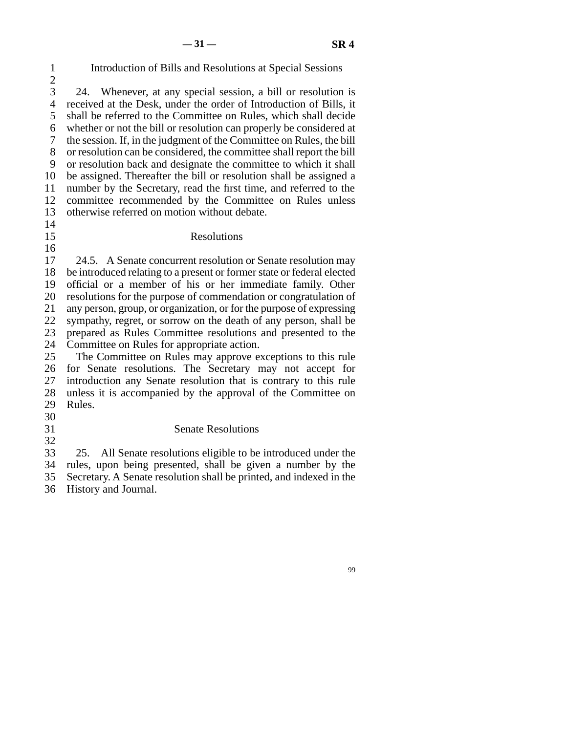$-31 -$  **SR 4** 

 line 1 Introduction of Bills and Resolutions at Special Sessions  $\frac{2}{3}$ 24. Whenever, at any special session, a bill or resolution is 4 received at the Desk, under the order of Introduction of Bills, it 5 shall be referred to the Committee on Rules, which shall decide 6 whether or not the bill or resolution can properly be considered at 7 the session. If, in the judgment of the Committee on Rules, the bill 8 or resolution can be considered, the committee shall report the bill 9 or resolution back and designate the committee to which it shall 10 be assigned. Thereafter the bill or resolution shall be assigned a 11 number by the Secretary, read the first time, and referred to the 12 committee recommended by the Committee on Rules unless 13 otherwise referred on motion without debate.  $14$ 15 Resolutions 16 17 24.5. A Senate concurrent resolution or Senate resolution may 18 be introduced relating to a present or former state or federal elected 19 official or a member of his or her immediate family. Other 20 resolutions for the purpose of commendation or congratulation of 21 any person, group, or organization, or for the purpose of expressing 22 sympathy, regret, or sorrow on the death of any person, shall be 23 prepared as Rules Committee resolutions and presented to the 24 Committee on Rules for appropriate action.<br>25 The Committee on Rules may approve example. The Committee on Rules may approve exceptions to this rule 26 for Senate resolutions. The Secretary may not accept for 27 introduction any Senate resolution that is contrary to this rule 28 unless it is accompanied by the approval of the Committee on 29 Rules. line 30 31 Senate Resolutions  $\frac{32}{33}$ 25. All Senate resolutions eligible to be introduced under the 34 rules, upon being presented, shall be given a number by the 35 Secretary. A Senate resolution shall be printed, and indexed in the

36 History and Journal.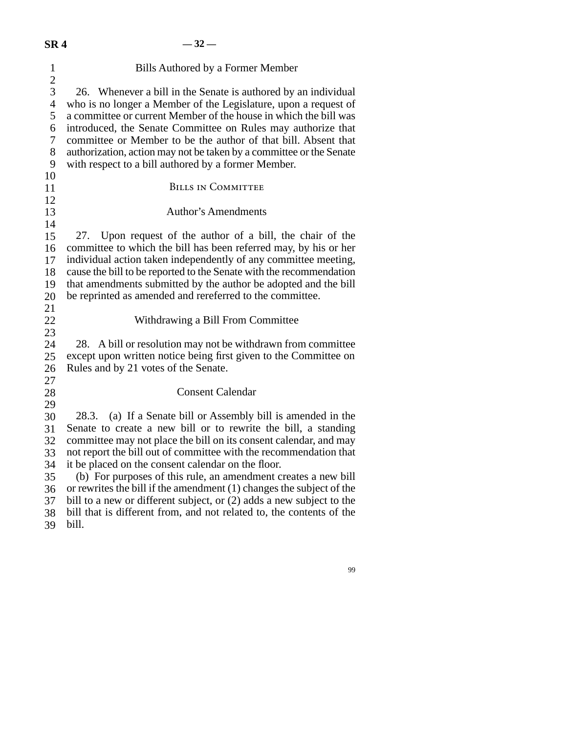| SR <sub>4</sub>                  | $-32-$                                                                                                                            |
|----------------------------------|-----------------------------------------------------------------------------------------------------------------------------------|
| $\mathbf{1}$                     | Bills Authored by a Former Member                                                                                                 |
| $\overline{c}$<br>$\overline{3}$ |                                                                                                                                   |
| $\overline{4}$                   | 26. Whenever a bill in the Senate is authored by an individual<br>who is no longer a Member of the Legislature, upon a request of |
| 5                                | a committee or current Member of the house in which the bill was                                                                  |
| 6                                | introduced, the Senate Committee on Rules may authorize that                                                                      |
| 7                                | committee or Member to be the author of that bill. Absent that                                                                    |
| 8                                | authorization, action may not be taken by a committee or the Senate                                                               |
| 9                                | with respect to a bill authored by a former Member.                                                                               |
| 10                               |                                                                                                                                   |
| 11                               | <b>BILLS IN COMMITTEE</b>                                                                                                         |
| 12                               |                                                                                                                                   |
| 13                               | <b>Author's Amendments</b>                                                                                                        |
| 14                               |                                                                                                                                   |
| 15                               | 27. Upon request of the author of a bill, the chair of the                                                                        |
| 16                               | committee to which the bill has been referred may, by his or her                                                                  |
| 17                               | individual action taken independently of any committee meeting,                                                                   |
| 18                               | cause the bill to be reported to the Senate with the recommendation                                                               |
| 19<br>20                         | that amendments submitted by the author be adopted and the bill<br>be reprinted as amended and rereferred to the committee.       |
| 21                               |                                                                                                                                   |
| 22                               | Withdrawing a Bill From Committee                                                                                                 |
| 23                               |                                                                                                                                   |
| 24                               | 28. A bill or resolution may not be withdrawn from committee                                                                      |
| 25                               | except upon written notice being first given to the Committee on                                                                  |
| 26                               | Rules and by 21 votes of the Senate.                                                                                              |
| 27                               |                                                                                                                                   |
| 28                               | <b>Consent Calendar</b>                                                                                                           |
| 29                               |                                                                                                                                   |
| 30                               | 28.3. (a) If a Senate bill or Assembly bill is amended in the                                                                     |
| 31                               | Senate to create a new bill or to rewrite the bill, a standing                                                                    |
| 32                               | committee may not place the bill on its consent calendar, and may                                                                 |
| 33                               | not report the bill out of committee with the recommendation that                                                                 |
| 34<br>35                         | it be placed on the consent calendar on the floor.<br>(b) For purposes of this rule, an amendment creates a new bill              |
| 36                               | or rewrites the bill if the amendment $(1)$ changes the subject of the                                                            |
| 37                               | bill to a new or different subject, or (2) adds a new subject to the                                                              |
| 38                               | bill that is different from, and not related to, the contents of the                                                              |
| 39                               | bill.                                                                                                                             |
|                                  |                                                                                                                                   |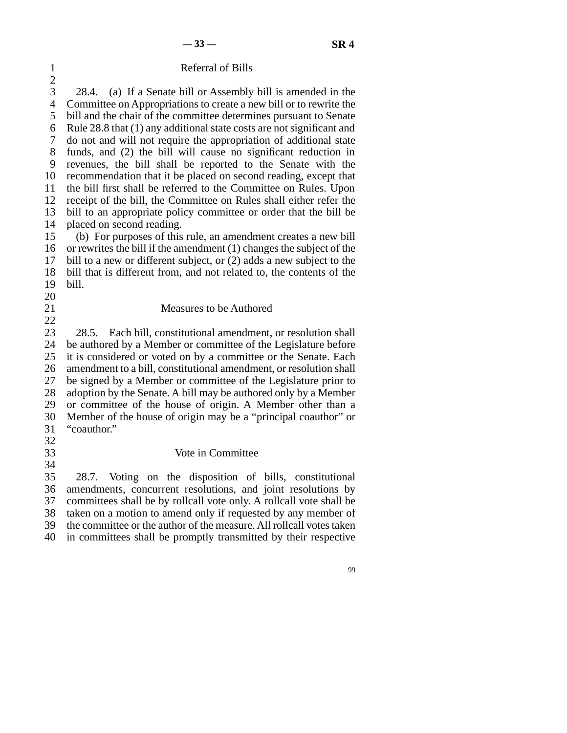### line 1 Referral of Bills

 $\frac{2}{3}$ 28.4. (a) If a Senate bill or Assembly bill is amended in the 4 Committee on Appropriations to create a new bill or to rewrite the 5 bill and the chair of the committee determines pursuant to Senate 6 Rule 28.8 that  $(1)$  any additional state costs are not significant and 7 do not and will not require the appropriation of additional state line 8 funds, and (2) the bill will cause no significant reduction in line 9 revenues, the bill shall be reported to the Senate with the 10 recommendation that it be placed on second reading, except that 11 the bill first shall be referred to the Committee on Rules. Upon 12 receipt of the bill, the Committee on Rules shall either refer the 13 bill to an appropriate policy committee or order that the bill be 14 placed on second reading. 15 (b) For purposes of this rule, an amendment creates a new bill 16 or rewrites the bill if the amendment  $(1)$  changes the subject of the 17 bill to a new or different subject, or  $(2)$  adds a new subject to the 18 bill that is different from, and not related to, the contents of the 19 bill. 20 21 Measures to be Authored  $\frac{22}{23}$ 28.5. Each bill, constitutional amendment, or resolution shall 24 be authored by a Member or committee of the Legislature before<br>25 it is considered or voted on by a committee or the Senate. Each it is considered or voted on by a committee or the Senate. Each 26 amendment to a bill, constitutional amendment, or resolution shall 27 be signed by a Member or committee of the Legislature prior to 28 adoption by the Senate. A bill may be authored only by a Member 29 or committee of the house of origin. A Member other than a 30 Member of the house of origin may be a "principal coauthor" or 31 "coauthor."  $\frac{32}{33}$ Vote in Committee line 34 35 28.7. Voting on the disposition of bills, constitutional 36 amendments, concurrent resolutions, and joint resolutions by 37 committees shall be by rollcall vote only. A rollcall vote shall be 38 taken on a motion to amend only if requested by any member of

39 the committee or the author of the measure. All rollcall votes taken 40 in committees shall be promptly transmitted by their respective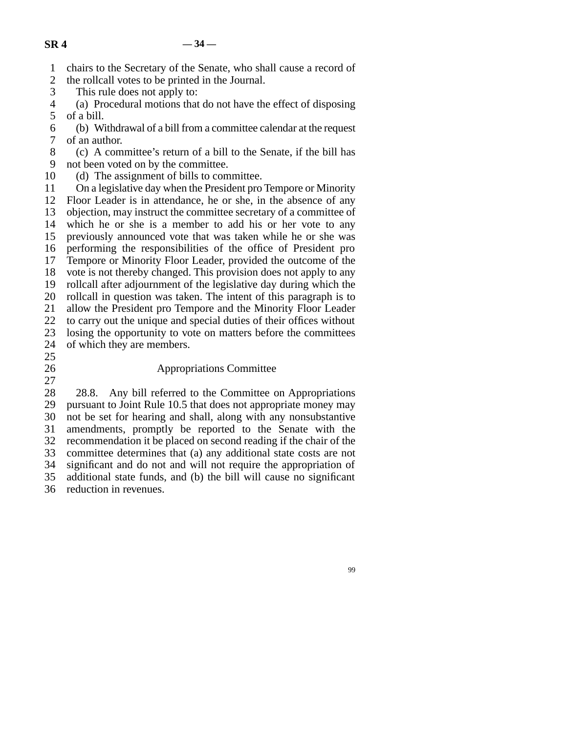2 the rollcall votes to be printed in the Journal.<br>3 This rule does not apply to:

- This rule does not apply to:
- line 4 (a) Procedural motions that do not have the effect of disposing 5 of a bill.

# $\delta$  (b) Withdrawal of a bill from a committee calendar at the request 7 of an author.

- line 8 (c) A committee's return of a bill to the Senate, if the bill has 9 not been voted on by the committee.
- $10$  (d) The assignment of bills to committee.

11 On a legislative day when the President pro Tempore or Minority 12 Floor Leader is in attendance, he or she, in the absence of any 13 objection, may instruct the committee secretary of a committee of 14 which he or she is a member to add his or her vote to any 15 previously announced vote that was taken while he or she was 16 performing the responsibilities of the office of President pro 17 Tempore or Minority Floor Leader, provided the outcome of the 18 vote is not thereby changed. This provision does not apply to any 19 rollcall after adjournment of the legislative day during which the 20 rollcall in question was taken. The intent of this paragraph is to 21 allow the President pro Tempore and the Minority Floor Leader 22 to carry out the unique and special duties of their offices without 23 losing the opportunity to vote on matters before the committees 24 of which they are members.

25

# 26 Appropriations Committee

 $\frac{27}{28}$ 28.8. Any bill referred to the Committee on Appropriations 29 pursuant to Joint Rule 10.5 that does not appropriate money may 30 not be set for hearing and shall, along with any nonsubstantive 31 amendments, promptly be reported to the Senate with the 32 recommendation it be placed on second reading if the chair of the 33 committee determines that (a) any additional state costs are not 34 significant and do not and will not require the appropriation of 35 additional state funds, and (b) the bill will cause no significant 36 reduction in revenues.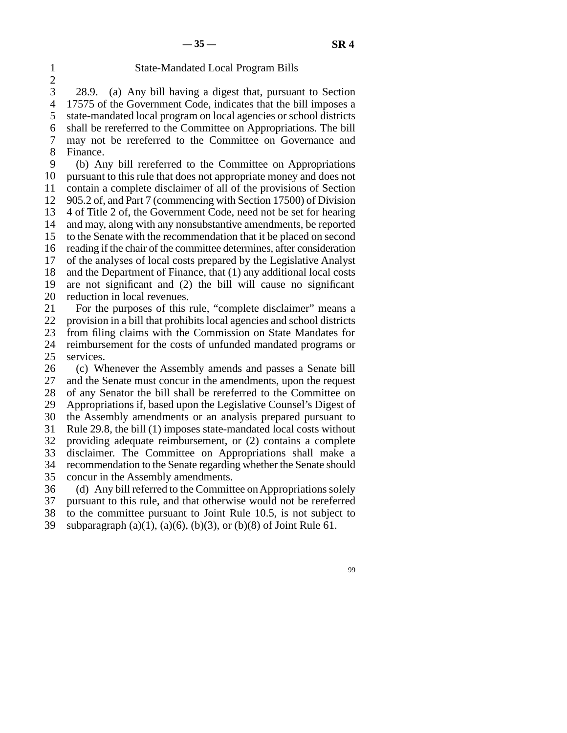#### line 1 State-Mandated Local Program Bills

 $\frac{2}{3}$ 28.9. (a) Any bill having a digest that, pursuant to Section 4 17575 of the Government Code, indicates that the bill imposes a 5 state-mandated local program on local agencies or school districts 6 shall be rereferred to the Committee on Appropriations. The bill 7 may not be rereferred to the Committee on Governance and 8 Finance.

9 (b) Any bill rereferred to the Committee on Appropriations 10 pursuant to this rule that does not appropriate money and does not 11 contain a complete disclaimer of all of the provisions of Section 12 905.2 of, and Part 7 (commencing with Section 17500) of Division 13 4 of Title 2 of, the Government Code, need not be set for hearing 14 and may, along with any nonsubstantive amendments, be reported 15 to the Senate with the recommendation that it be placed on second 16 reading if the chair of the committee determines, after consideration 17 of the analyses of local costs prepared by the Legislative Analyst 18 and the Department of Finance, that (1) any additional local costs 19 are not significant and  $(2)$  the bill will cause no significant 20 reduction in local revenues.

21 For the purposes of this rule, "complete disclaimer" means a 22 provision in a bill that prohibits local agencies and school districts 23 from filing claims with the Commission on State Mandates for 24 reimbursement for the costs of unfunded mandated programs or 25 services. services.

26 (c) Whenever the Assembly amends and passes a Senate bill 27 and the Senate must concur in the amendments, upon the request 28 of any Senator the bill shall be rereferred to the Committee on 29 Appropriations if, based upon the Legislative Counsel's Digest of 30 the Assembly amendments or an analysis prepared pursuant to 31 Rule 29.8, the bill (1) imposes state-mandated local costs without 32 providing adequate reimbursement, or (2) contains a complete 33 disclaimer. The Committee on Appropriations shall make a 34 recommendation to the Senate regarding whether the Senate should 35 concur in the Assembly amendments.

36 (d) Any bill referred to the Committee on Appropriations solely 37 pursuant to this rule, and that otherwise would not be rereferred 38 to the committee pursuant to Joint Rule 10.5, is not subject to

39 subparagraph (a)(1), (a)(6), (b)(3), or (b)(8) of Joint Rule 61.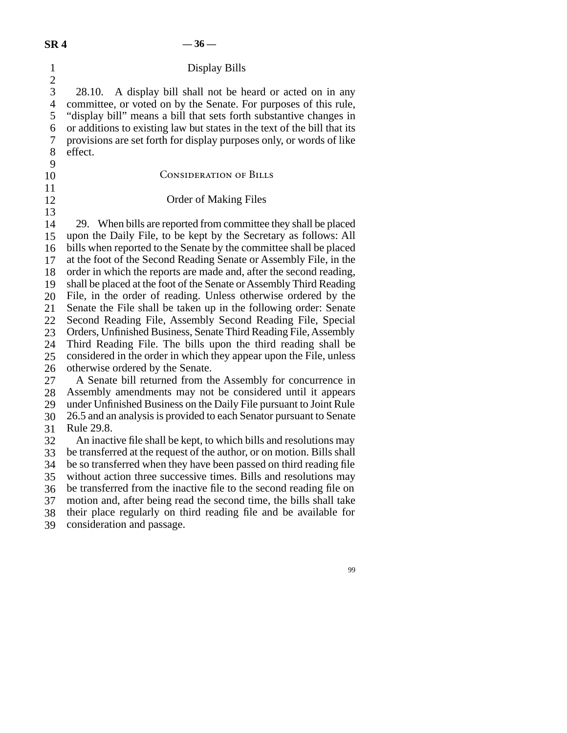| SR <sub>4</sub>                  | $-36-$                                                                                                                                 |
|----------------------------------|----------------------------------------------------------------------------------------------------------------------------------------|
| $\mathbf{1}$                     | Display Bills                                                                                                                          |
| $\overline{2}$<br>$\overline{3}$ |                                                                                                                                        |
| $\overline{4}$                   | A display bill shall not be heard or acted on in any<br>28.10.<br>committee, or voted on by the Senate. For purposes of this rule,     |
| 5                                | "display bill" means a bill that sets forth substantive changes in                                                                     |
| 6                                | or additions to existing law but states in the text of the bill that its                                                               |
| 7                                | provisions are set forth for display purposes only, or words of like                                                                   |
| 8                                | effect.                                                                                                                                |
| 9                                |                                                                                                                                        |
| 10                               | <b>CONSIDERATION OF BILLS</b>                                                                                                          |
| 11                               |                                                                                                                                        |
| 12                               | Order of Making Files                                                                                                                  |
| 13                               |                                                                                                                                        |
| 14                               | 29. When bills are reported from committee they shall be placed                                                                        |
| 15                               | upon the Daily File, to be kept by the Secretary as follows: All                                                                       |
| 16                               | bills when reported to the Senate by the committee shall be placed                                                                     |
| 17                               | at the foot of the Second Reading Senate or Assembly File, in the                                                                      |
| 18                               | order in which the reports are made and, after the second reading,                                                                     |
| 19                               | shall be placed at the foot of the Senate or Assembly Third Reading<br>File, in the order of reading. Unless otherwise ordered by the  |
| 20<br>21                         | Senate the File shall be taken up in the following order: Senate                                                                       |
| 22                               | Second Reading File, Assembly Second Reading File, Special                                                                             |
| 23                               | Orders, Unfinished Business, Senate Third Reading File, Assembly                                                                       |
| 24                               | Third Reading File. The bills upon the third reading shall be                                                                          |
| 25                               | considered in the order in which they appear upon the File, unless                                                                     |
| 26                               | otherwise ordered by the Senate.                                                                                                       |
| 27                               | A Senate bill returned from the Assembly for concurrence in                                                                            |
| 28                               | Assembly amendments may not be considered until it appears                                                                             |
| 29                               | under Unfinished Business on the Daily File pursuant to Joint Rule                                                                     |
| 30                               | 26.5 and an analysis is provided to each Senator pursuant to Senate                                                                    |
| 31                               | Rule 29.8.                                                                                                                             |
| 32                               | An inactive file shall be kept, to which bills and resolutions may                                                                     |
| 33                               | be transferred at the request of the author, or on motion. Bills shall                                                                 |
| 34                               | be so transferred when they have been passed on third reading file<br>without action three successive times. Bills and resolutions may |
| 35<br>36                         | be transferred from the inactive file to the second reading file on                                                                    |
| 37                               | motion and, after being read the second time, the bills shall take                                                                     |
| 38                               | their place regularly on third reading file and be available for                                                                       |
| 39                               | consideration and passage.                                                                                                             |
|                                  |                                                                                                                                        |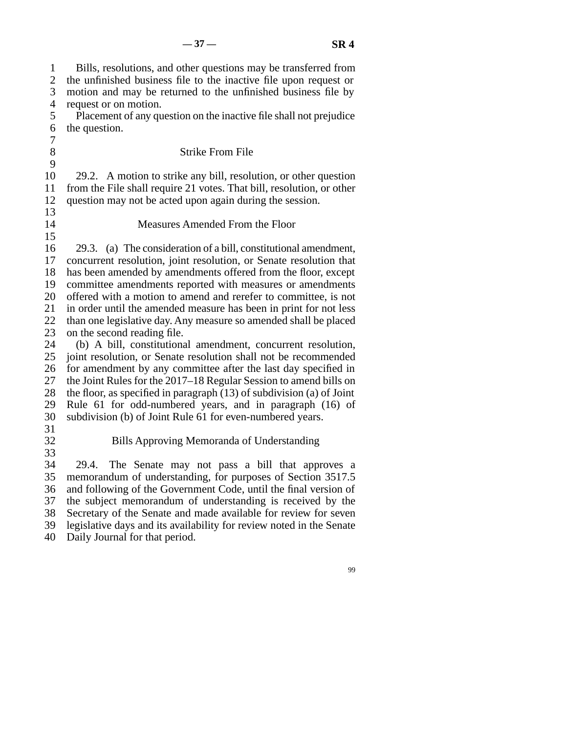line 1 Bills, resolutions, and other questions may be transferred from 2 the unfinished business file to the inactive file upon request or 3 motion and may be returned to the unfinished business file by 4 request or on motion. 5 Placement of any question on the inactive file shall not prejudice 6 the question.  $\overline{7}$ 8 Strike From File  $\overline{9}$ 10 29.2. A motion to strike any bill, resolution, or other question 11 from the File shall require 21 votes. That bill, resolution, or other 12 question may not be acted upon again during the session.  $\frac{13}{14}$ Measures Amended From the Floor line 15 16 29.3. (a) The consideration of a bill, constitutional amendment, 17 concurrent resolution, joint resolution, or Senate resolution that 18 has been amended by amendments offered from the floor, except 19 committee amendments reported with measures or amendments 20 offered with a motion to amend and rerefer to committee, is not 21 in order until the amended measure has been in print for not less 22 than one legislative day. Any measure so amended shall be placed 23 on the second reading file. 24 (b) A bill, constitutional amendment, concurrent resolution, 25 ioint resolution, or Senate resolution shall not be recommended joint resolution, or Senate resolution shall not be recommended 26 for amendment by any committee after the last day specified in 27 the Joint Rules for the 2017–18 Regular Session to amend bills on 28 the floor, as specified in paragraph  $(13)$  of subdivision (a) of Joint 29 Rule 61 for odd-numbered years, and in paragraph (16) of 30 subdivision (b) of Joint Rule 61 for even-numbered years.  $31$ 32 Bills Approving Memoranda of Understanding line 33 34 29.4. The Senate may not pass a bill that approves a 35 memorandum of understanding, for purposes of Section 3517.5 36 and following of the Government Code, until the final version of 37 the subject memorandum of understanding is received by the 38 Secretary of the Senate and made available for review for seven 39 legislative days and its availability for review noted in the Senate

40 Daily Journal for that period.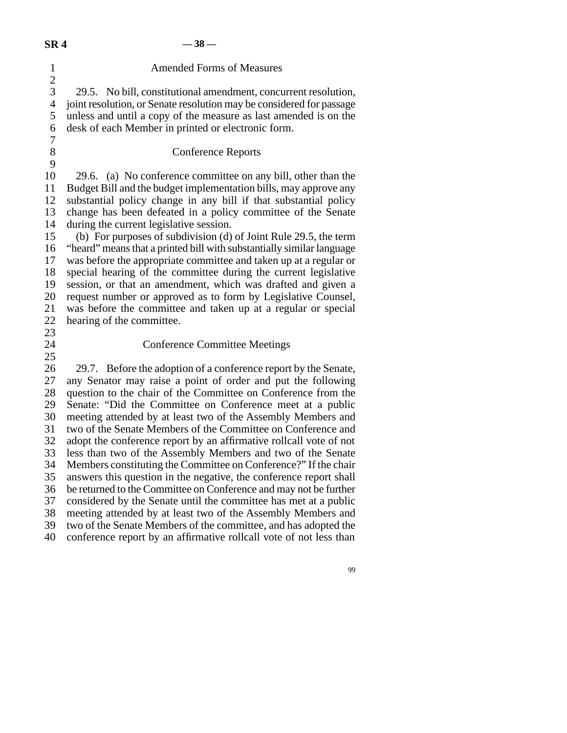| SR <sub>4</sub>                  | $-38-$                                                                                                                         |
|----------------------------------|--------------------------------------------------------------------------------------------------------------------------------|
| $\mathbf{1}$                     | <b>Amended Forms of Measures</b>                                                                                               |
| $\overline{c}$<br>$\overline{3}$ |                                                                                                                                |
|                                  | 29.5. No bill, constitutional amendment, concurrent resolution,                                                                |
| $\overline{4}$<br>5              | joint resolution, or Senate resolution may be considered for passage                                                           |
|                                  | unless and until a copy of the measure as last amended is on the<br>desk of each Member in printed or electronic form.         |
| 6<br>7                           |                                                                                                                                |
| 8                                | <b>Conference Reports</b>                                                                                                      |
| 9                                |                                                                                                                                |
| 10                               | 29.6. (a) No conference committee on any bill, other than the                                                                  |
| 11                               | Budget Bill and the budget implementation bills, may approve any                                                               |
| 12                               | substantial policy change in any bill if that substantial policy                                                               |
| 13                               | change has been defeated in a policy committee of the Senate                                                                   |
| 14                               | during the current legislative session.                                                                                        |
| 15                               | (b) For purposes of subdivision (d) of Joint Rule 29.5, the term                                                               |
| 16                               | "heard" means that a printed bill with substantially similar language                                                          |
| 17                               | was before the appropriate committee and taken up at a regular or                                                              |
| 18                               | special hearing of the committee during the current legislative                                                                |
| 19                               | session, or that an amendment, which was drafted and given a                                                                   |
| 20                               | request number or approved as to form by Legislative Counsel,                                                                  |
| 21                               | was before the committee and taken up at a regular or special                                                                  |
| 22                               | hearing of the committee.                                                                                                      |
| 23                               |                                                                                                                                |
| 24                               | <b>Conference Committee Meetings</b>                                                                                           |
| 25                               |                                                                                                                                |
| 26                               | 29.7. Before the adoption of a conference report by the Senate,                                                                |
| 27                               | any Senator may raise a point of order and put the following                                                                   |
| 28                               | question to the chair of the Committee on Conference from the                                                                  |
| 29                               | Senate: "Did the Committee on Conference meet at a public                                                                      |
| 30                               | meeting attended by at least two of the Assembly Members and                                                                   |
| 31                               | two of the Senate Members of the Committee on Conference and                                                                   |
| 32<br>33                         | adopt the conference report by an affirmative rollcall vote of not                                                             |
| 34                               | less than two of the Assembly Members and two of the Senate<br>Members constituting the Committee on Conference?" If the chair |
| 35                               | answers this question in the negative, the conference report shall                                                             |
| 36                               | be returned to the Committee on Conference and may not be further                                                              |
| 37                               | considered by the Senate until the committee has met at a public                                                               |
| 38                               | meeting attended by at least two of the Assembly Members and                                                                   |
| 39                               | two of the Senate Members of the committee, and has adopted the                                                                |
| 40                               | conference report by an affirmative rollcall vote of not less than                                                             |
|                                  |                                                                                                                                |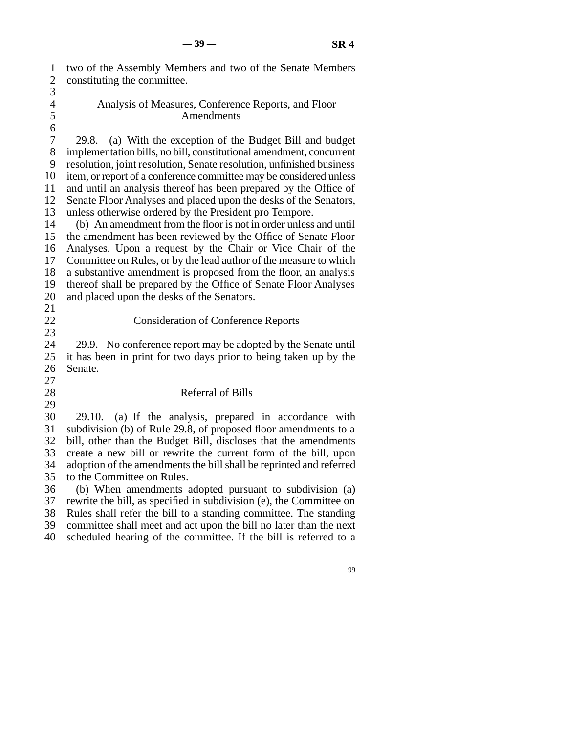line 1 two of the Assembly Members and two of the Senate Members 2 constituting the committee.  $\mathfrak{Z}$ 4 Analysis of Measures, Conference Reports, and Floor 5 Amendments  $6 \overline{6}$ 7 29.8. (a) With the exception of the Budget Bill and budget 8 implementation bills, no bill, constitutional amendment, concurrent 9 resolution, joint resolution, Senate resolution, unfinished business 10 item, or report of a conference committee may be considered unless 11 and until an analysis thereof has been prepared by the Office of 12 Senate Floor Analyses and placed upon the desks of the Senators, 13 unless otherwise ordered by the President pro Tempore. 14 (b) An amendment from the floor is not in order unless and until 15 the amendment has been reviewed by the Office of Senate Floor 16 Analyses. Upon a request by the Chair or Vice Chair of the 17 Committee on Rules, or by the lead author of the measure to which 18 a substantive amendment is proposed from the floor, an analysis 19 thereof shall be prepared by the Office of Senate Floor Analyses 20 and placed upon the desks of the Senators. line 21 22 Consideration of Conference Reports 23 24 29.9. No conference report may be adopted by the Senate until<br>25 it has been in print for two days prior to being taken up by the it has been in print for two days prior to being taken up by the 26 Senate. 27 28 Referral of Bills 29 30 29.10. (a) If the analysis, prepared in accordance with 31 subdivision (b) of Rule 29.8, of proposed floor amendments to a 32 bill, other than the Budget Bill, discloses that the amendments 33 create a new bill or rewrite the current form of the bill, upon 34 adoption of the amendments the bill shall be reprinted and referred 35 to the Committee on Rules. 36 (b) When amendments adopted pursuant to subdivision (a) 37 rewrite the bill, as specified in subdivision (e), the Committee on 38 Rules shall refer the bill to a standing committee. The standing line 39 committee shall meet and act upon the bill no later than the next 40 scheduled hearing of the committee. If the bill is referred to a  $-39 -$  **SR 4**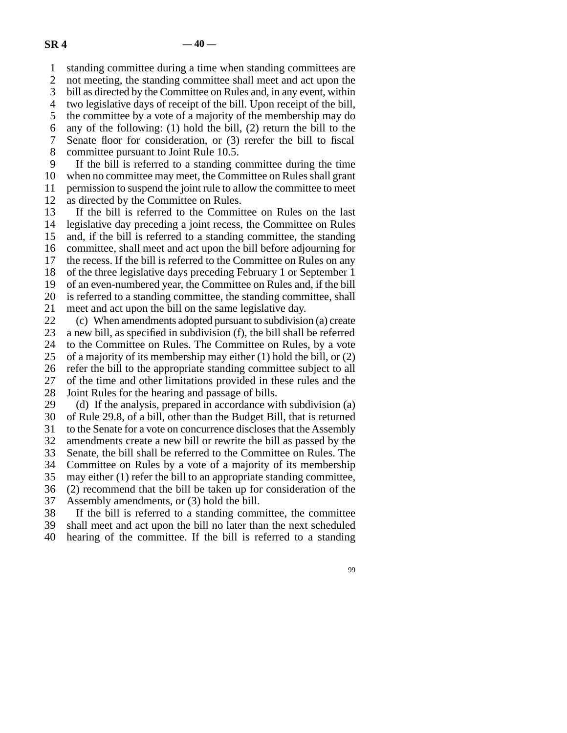1 standing committee during a time when standing committees are

2 not meeting, the standing committee shall meet and act upon the 3 bill as directed by the Committee on Rules and, in any event, within

bill as directed by the Committee on Rules and, in any event, within

4 two legislative days of receipt of the bill. Upon receipt of the bill,

5 the committee by a vote of a majority of the membership may do

6 any of the following: (1) hold the bill, (2) return the bill to the

7 Senate floor for consideration, or (3) rerefer the bill to fiscal

8 committee pursuant to Joint Rule 10.5.

line 9 If the bill is referred to a standing committee during the time

10 when no committee may meet, the Committee on Rules shall grant 11 permission to suspend the joint rule to allow the committee to meet

12 as directed by the Committee on Rules.

13 If the bill is referred to the Committee on Rules on the last 14 legislative day preceding a joint recess, the Committee on Rules 15 and, if the bill is referred to a standing committee, the standing 16 committee, shall meet and act upon the bill before adjourning for 17 the recess. If the bill is referred to the Committee on Rules on any 18 of the three legislative days preceding February 1 or September 1 19 of an even-numbered year, the Committee on Rules and, if the bill 20 is referred to a standing committee, the standing committee, shall 21 meet and act upon the bill on the same legislative day.

22 (c) When amendments adopted pursuant to subdivision (a) create 23 a new bill, as specified in subdivision (f), the bill shall be referred a new bill, as specified in subdivision (f), the bill shall be referred 24 to the Committee on Rules. The Committee on Rules, by a vote 25 of a majority of its membership may either  $(1)$  hold the bill, or  $(2)$ of a majority of its membership may either  $(1)$  hold the bill, or  $(2)$ 26 refer the bill to the appropriate standing committee subject to all 27 of the time and other limitations provided in these rules and the 28 Joint Rules for the hearing and passage of bills.

29 (d) If the analysis, prepared in accordance with subdivision (a)

30 of Rule 29.8, of a bill, other than the Budget Bill, that is returned 31 to the Senate for a vote on concurrence discloses that the Assembly

32 amendments create a new bill or rewrite the bill as passed by the

33 Senate, the bill shall be referred to the Committee on Rules. The

34 Committee on Rules by a vote of a majority of its membership

35 may either  $(1)$  refer the bill to an appropriate standing committee,

36 (2) recommend that the bill be taken up for consideration of the

37 Assembly amendments, or  $(3)$  hold the bill.

38 If the bill is referred to a standing committee, the committee

39 shall meet and act upon the bill no later than the next scheduled

40 hearing of the committee. If the bill is referred to a standing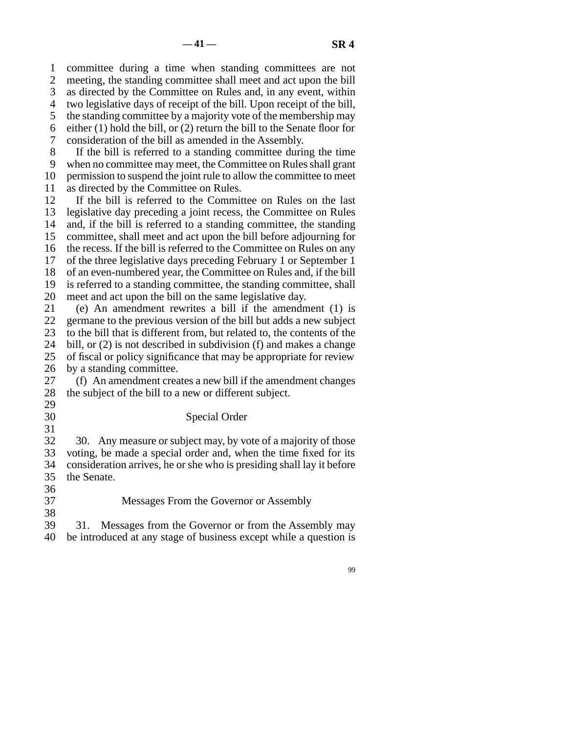1 committee during a time when standing committees are not 2 meeting, the standing committee shall meet and act upon the bill 3 as directed by the Committee on Rules and, in any event, within 4 two legislative days of receipt of the bill. Upon receipt of the bill, 5 the standing committee by a majority vote of the membership may 6 either (1) hold the bill, or (2) return the bill to the Senate floor for 7 consideration of the bill as amended in the Assembly. 8 If the bill is referred to a standing committee during the time 9 when no committee may meet, the Committee on Rules shall grant 10 permission to suspend the joint rule to allow the committee to meet 11 as directed by the Committee on Rules.

12 If the bill is referred to the Committee on Rules on the last 13 legislative day preceding a joint recess, the Committee on Rules 14 and, if the bill is referred to a standing committee, the standing 15 committee, shall meet and act upon the bill before adjourning for 16 the recess. If the bill is referred to the Committee on Rules on any 17 of the three legislative days preceding February 1 or September 1 18 of an even-numbered year, the Committee on Rules and, if the bill 19 is referred to a standing committee, the standing committee, shall 20 meet and act upon the bill on the same legislative day.

21 (e) An amendment rewrites a bill if the amendment  $(1)$  is 22 germane to the previous version of the bill but adds a new subject 23 to the bill that is different from, but related to, the contents of the 24 bill, or (2) is not described in subdivision (f) and makes a change  $25$  of fiscal or policy significance that may be appropriate for review of fiscal or policy significance that may be appropriate for review 26 by a standing committee.

27  $\hspace{0.1cm}$  (f) An amendment creates a new bill if the amendment changes 28 the subject of the bill to a new or different subject.

29

 $31$ 

#### line 30 Special Order

32 30. Any measure or subject may, by vote of a majority of those 33 voting, be made a special order and, when the time fixed for its 34 consideration arrives, he or she who is presiding shall lay it before 35 the Senate.

36

line 38

37 Messages From the Governor or Assembly

39 31. Messages from the Governor or from the Assembly may 40 be introduced at any stage of business except while a question is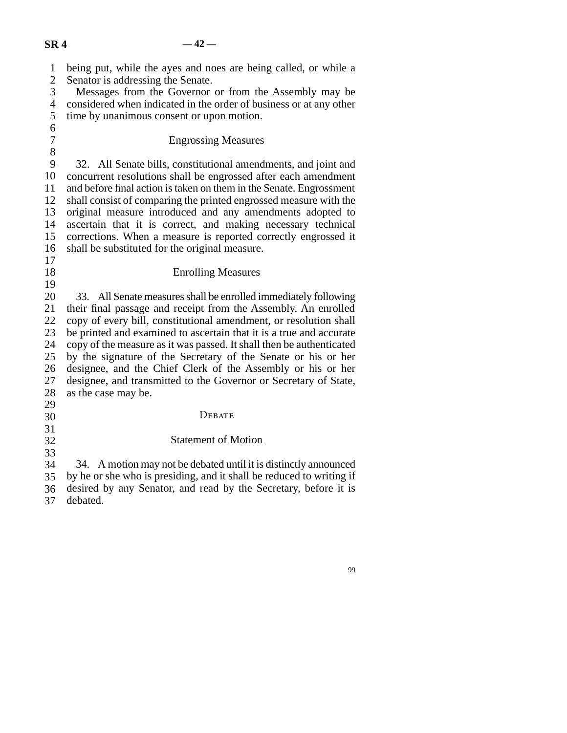| $\mathbf{1}$   | being put, while the ayes and noes are being called, or while a      |
|----------------|----------------------------------------------------------------------|
| $\overline{2}$ | Senator is addressing the Senate.                                    |
| 3              | Messages from the Governor or from the Assembly may be               |
| $\overline{4}$ | considered when indicated in the order of business or at any other   |
| 5              | time by unanimous consent or upon motion.                            |
| 6              |                                                                      |
| 7              | <b>Engrossing Measures</b>                                           |
| 8              |                                                                      |
| 9              | 32. All Senate bills, constitutional amendments, and joint and       |
| 10             | concurrent resolutions shall be engrossed after each amendment       |
| 11             | and before final action is taken on them in the Senate. Engrossment  |
| 12             | shall consist of comparing the printed engrossed measure with the    |
| 13             | original measure introduced and any amendments adopted to            |
| 14             | ascertain that it is correct, and making necessary technical         |
| 15             | corrections. When a measure is reported correctly engrossed it       |
| 16             | shall be substituted for the original measure.                       |
| 17             |                                                                      |
| 18             | <b>Enrolling Measures</b>                                            |
| 19             |                                                                      |
| 20             | 33. All Senate measures shall be enrolled immediately following      |
| 21             | their final passage and receipt from the Assembly. An enrolled       |
| 22             | copy of every bill, constitutional amendment, or resolution shall    |
| 23             | be printed and examined to ascertain that it is a true and accurate  |
| 24             | copy of the measure as it was passed. It shall then be authenticated |
| 25             | by the signature of the Secretary of the Senate or his or her        |
| 26             | designee, and the Chief Clerk of the Assembly or his or her          |
| 27             | designee, and transmitted to the Governor or Secretary of State,     |
| 28             | as the case may be.                                                  |
| 29             |                                                                      |
| 30             | DEBATE                                                               |
| 31             |                                                                      |
| 32             | <b>Statement of Motion</b>                                           |
| 33             |                                                                      |
| 34             | 34. A motion may not be debated until it is distinctly announced     |
| 35             | by he or she who is presiding, and it shall be reduced to writing if |
| 36             | desired by any Senator, and read by the Secretary, before it is      |

37 debated.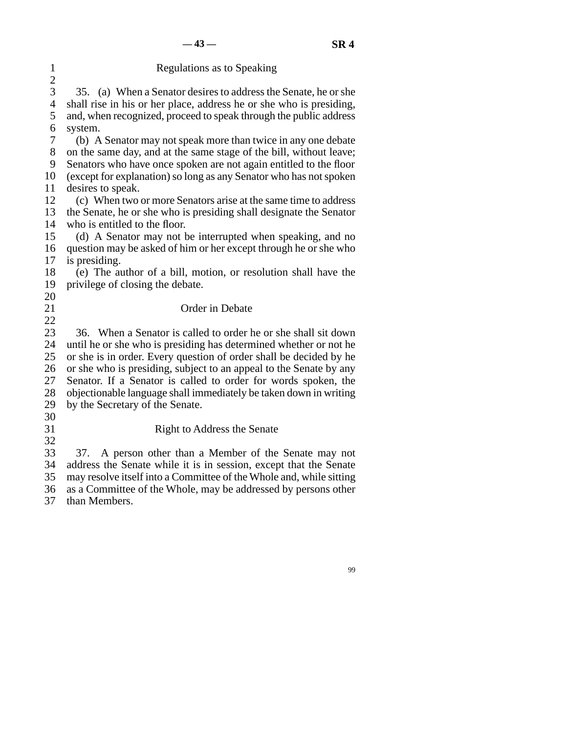| $\mathbf{1}$   | Regulations as to Speaking                                                                                                              |
|----------------|-----------------------------------------------------------------------------------------------------------------------------------------|
| $\overline{c}$ |                                                                                                                                         |
| $\overline{3}$ | 35. (a) When a Senator desires to address the Senate, he or she                                                                         |
| $\overline{4}$ | shall rise in his or her place, address he or she who is presiding,                                                                     |
| 5              | and, when recognized, proceed to speak through the public address                                                                       |
| 6              | system.                                                                                                                                 |
| 7              | (b) A Senator may not speak more than twice in any one debate                                                                           |
| 8              | on the same day, and at the same stage of the bill, without leave;                                                                      |
| 9              | Senators who have once spoken are not again entitled to the floor                                                                       |
| 10             | (except for explanation) so long as any Senator who has not spoken                                                                      |
| 11             | desires to speak.                                                                                                                       |
| 12             | (c) When two or more Senators arise at the same time to address                                                                         |
| 13             | the Senate, he or she who is presiding shall designate the Senator                                                                      |
| 14             | who is entitled to the floor.                                                                                                           |
| 15             | (d) A Senator may not be interrupted when speaking, and no                                                                              |
| 16             | question may be asked of him or her except through he or she who                                                                        |
| 17             | is presiding.                                                                                                                           |
| 18             | (e) The author of a bill, motion, or resolution shall have the                                                                          |
| 19             | privilege of closing the debate.                                                                                                        |
| 20             |                                                                                                                                         |
| 21             | Order in Debate                                                                                                                         |
| 22             |                                                                                                                                         |
| 23<br>24       | 36. When a Senator is called to order he or she shall sit down                                                                          |
| 25             | until he or she who is presiding has determined whether or not he<br>or she is in order. Every question of order shall be decided by he |
| 26             | or she who is presiding, subject to an appeal to the Senate by any                                                                      |
| 27             | Senator. If a Senator is called to order for words spoken, the                                                                          |
| 28             | objectionable language shall immediately be taken down in writing                                                                       |
| 29             | by the Secretary of the Senate.                                                                                                         |
| 30             |                                                                                                                                         |
| 31             | Right to Address the Senate                                                                                                             |
| 32             |                                                                                                                                         |
| 33             | A person other than a Member of the Senate may not<br>37.                                                                               |
| 34             | address the Senate while it is in session, except that the Senate                                                                       |
| 35             | may resolve itself into a Committee of the Whole and, while sitting                                                                     |
| 36             | as a Committee of the Whole, may be addressed by persons other                                                                          |
|                |                                                                                                                                         |

37 than Members.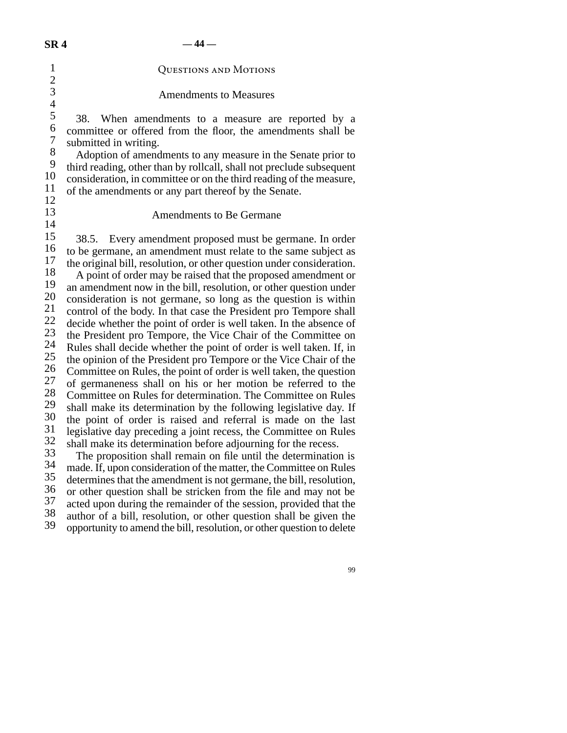| SR <sub>4</sub>                 | $-44-$                                                                                                                                      |
|---------------------------------|---------------------------------------------------------------------------------------------------------------------------------------------|
| $\mathbf{1}$                    | QUESTIONS AND MOTIONS                                                                                                                       |
| $\frac{2}{3}$<br>$\overline{4}$ | <b>Amendments to Measures</b>                                                                                                               |
| 5<br>6                          | 38.<br>When amendments to a measure are reported by a<br>committee or offered from the floor, the amendments shall be                       |
| $\boldsymbol{7}$                | submitted in writing.                                                                                                                       |
| $8\,$<br>9                      | Adoption of amendments to any measure in the Senate prior to                                                                                |
| 10                              | third reading, other than by rollcall, shall not preclude subsequent<br>consideration, in committee or on the third reading of the measure, |
| 11<br>12                        | of the amendments or any part thereof by the Senate.                                                                                        |
| 13<br>14                        | <b>Amendments to Be Germane</b>                                                                                                             |
| 15                              | Every amendment proposed must be germane. In order<br>38.5.                                                                                 |
| 16                              | to be germane, an amendment must relate to the same subject as                                                                              |
| 17                              | the original bill, resolution, or other question under consideration.                                                                       |
| 18<br>19                        | A point of order may be raised that the proposed amendment or                                                                               |
| 20                              | an amendment now in the bill, resolution, or other question under<br>consideration is not germane, so long as the question is within        |
| 21                              | control of the body. In that case the President pro Tempore shall                                                                           |
| 22                              | decide whether the point of order is well taken. In the absence of                                                                          |
| 23                              | the President pro Tempore, the Vice Chair of the Committee on                                                                               |
| 24                              | Rules shall decide whether the point of order is well taken. If, in                                                                         |
| 25<br>26                        | the opinion of the President pro Tempore or the Vice Chair of the                                                                           |
| 27                              | Committee on Rules, the point of order is well taken, the question                                                                          |
| 28                              | of germaneness shall on his or her motion be referred to the<br>Committee on Rules for determination. The Committee on Rules                |
| 29                              | shall make its determination by the following legislative day. If                                                                           |
| 30                              | the point of order is raised and referral is made on the last                                                                               |
| 31                              | legislative day preceding a joint recess, the Committee on Rules                                                                            |
| 32                              | shall make its determination before adjourning for the recess.                                                                              |
| 33                              | The proposition shall remain on file until the determination is                                                                             |
| 34                              | made. If, upon consideration of the matter, the Committee on Rules                                                                          |
| 35                              | determines that the amendment is not germane, the bill, resolution,                                                                         |
| 36                              | or other question shall be stricken from the file and may not be                                                                            |
| 37                              | acted upon during the remainder of the session, provided that the                                                                           |
| 38                              | author of a bill, resolution, or other question shall be given the                                                                          |
| 39                              | opportunity to amend the bill, resolution, or other question to delete                                                                      |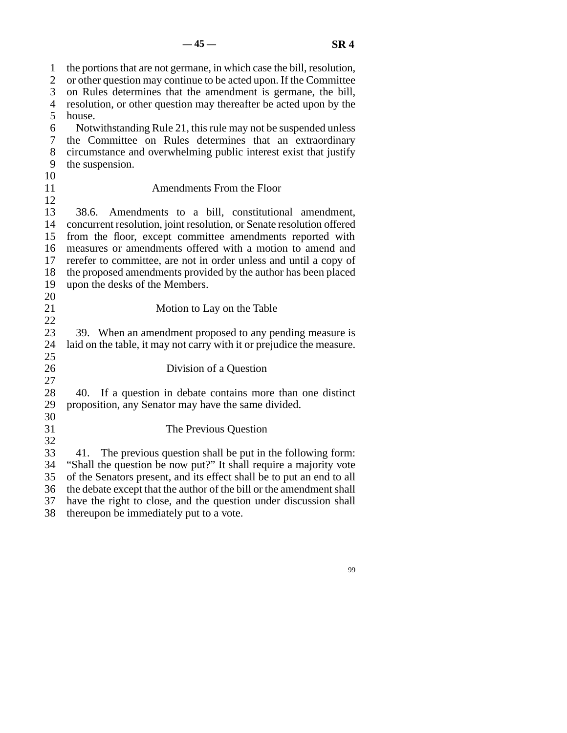1 the portions that are not germane, in which case the bill, resolution, 2 or other question may continue to be acted upon. If the Committee 3 on Rules determines that the amendment is germane, the bill, 4 resolution, or other question may thereafter be acted upon by the 5 house. 6 Notwithstanding Rule 21, this rule may not be suspended unless 7 the Committee on Rules determines that an extraordinary 8 circumstance and overwhelming public interest exist that justify 9 the suspension. line 10 line 11 Amendments From the Floor  $12$ 13 38.6. Amendments to a bill, constitutional amendment,<br>14 concurrent resolution, ioint resolution, or Senate resolution offered concurrent resolution, joint resolution, or Senate resolution offered 15 from the floor, except committee amendments reported with 16 measures or amendments offered with a motion to amend and 17 rerefer to committee, are not in order unless and until a copy of 18 the proposed amendments provided by the author has been placed 19 upon the desks of the Members. 20 21 Motion to Lay on the Table  $\frac{22}{23}$ 39. When an amendment proposed to any pending measure is 24 laid on the table, it may not carry with it or prejudice the measure. 25 26 Division of a Question  $\frac{27}{28}$ 40. If a question in debate contains more than one distinct 29 proposition, any Senator may have the same divided. line 30 31 The Previous Question  $32$ 33 41. The previous question shall be put in the following form: 34 "Shall the question be now put?" It shall require a majority vote 35 of the Senators present, and its effect shall be to put an end to all 36 the debate except that the author of the bill or the amendment shall 37 have the right to close, and the question under discussion shall

38 thereupon be immediately put to a vote.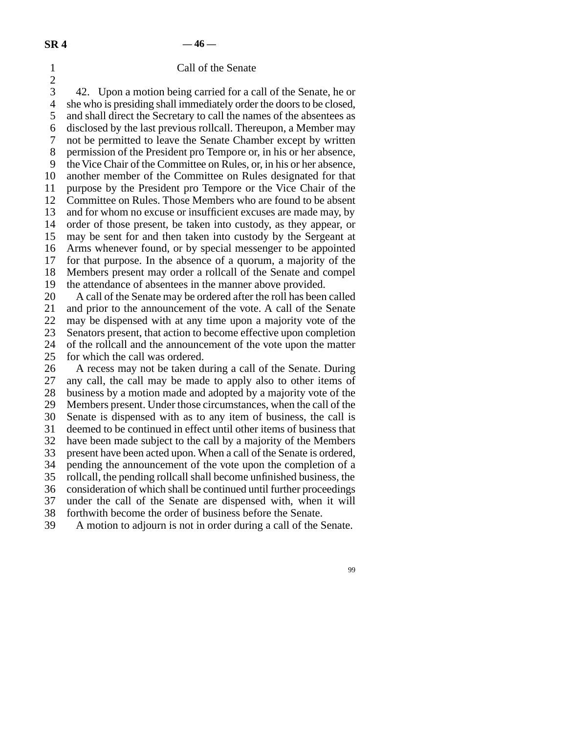# line 1 Call of the Senate  $\frac{2}{3}$ 42. Upon a motion being carried for a call of the Senate, he or  $S\$  **SR** 4 **— 46** —

4 she who is presiding shall immediately order the doors to be closed, 5 and shall direct the Secretary to call the names of the absentees as line 6 disclosed by the last previous rollcall. Thereupon, a Member may 7 not be permitted to leave the Senate Chamber except by written 8 permission of the President pro Tempore or, in his or her absence, 9 the Vice Chair of the Committee on Rules, or, in his or her absence, 10 another member of the Committee on Rules designated for that 11 purpose by the President pro Tempore or the Vice Chair of the 12 Committee on Rules. Those Members who are found to be absent 13 and for whom no excuse or insufficient excuses are made may, by 14 order of those present, be taken into custody, as they appear, or 15 may be sent for and then taken into custody by the Sergeant at 16 Arms whenever found, or by special messenger to be appointed 17 for that purpose. In the absence of a quorum, a majority of the 18 Members present may order a rollcall of the Senate and compel 19 the attendance of absentees in the manner above provided. 20 A call of the Senate may be ordered after the roll has been called

21 and prior to the announcement of the vote. A call of the Senate 22 may be dispensed with at any time upon a majority vote of the 23 Senators present, that action to become effective upon completion 24 of the rollcall and the announcement of the vote upon the matter 25 for which the call was ordered. for which the call was ordered.

26 A recess may not be taken during a call of the Senate. During 27 any call, the call may be made to apply also to other items of any call, the call may be made to apply also to other items of 28 business by a motion made and adopted by a majority vote of the 29 Members present. Under those circumstances, when the call of the 30 Senate is dispensed with as to any item of business, the call is 31 deemed to be continued in effect until other items of business that 32 have been made subject to the call by a majority of the Members 33 present have been acted upon. When a call of the Senate is ordered, 34 pending the announcement of the vote upon the completion of a 35 rollcall, the pending rollcall shall become unfinished business, the 36 consideration of which shall be continued until further proceedings 37 under the call of the Senate are dispensed with, when it will

38 forthwith become the order of business before the Senate.

39 A motion to adjourn is not in order during a call of the Senate.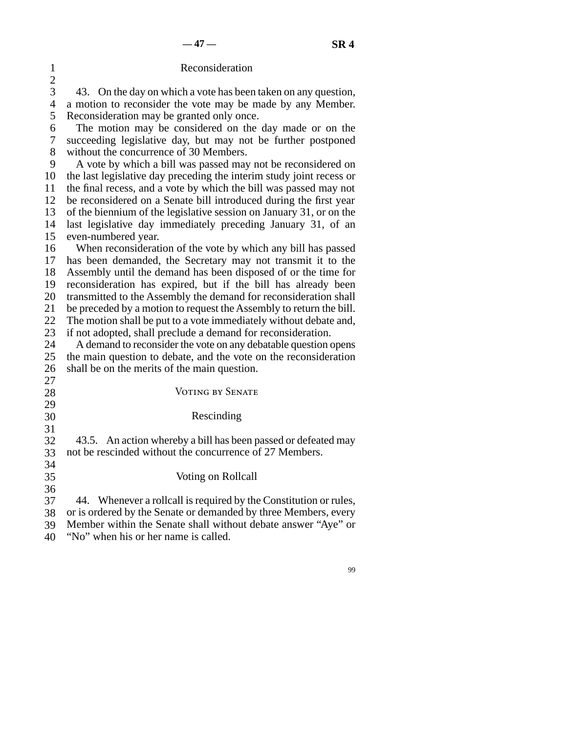**— 47 — SR 4**

| $\mathbf{1}$   | Reconsideration                                                      |
|----------------|----------------------------------------------------------------------|
|                |                                                                      |
| $\frac{2}{3}$  | 43. On the day on which a vote has been taken on any question,       |
| $\overline{4}$ | a motion to reconsider the vote may be made by any Member.           |
| 5              | Reconsideration may be granted only once.                            |
| 6              | The motion may be considered on the day made or on the               |
| 7              | succeeding legislative day, but may not be further postponed         |
| 8              | without the concurrence of 30 Members.                               |
| 9              | A vote by which a bill was passed may not be reconsidered on         |
| 10             | the last legislative day preceding the interim study joint recess or |
| 11             | the final recess, and a vote by which the bill was passed may not    |
| 12             | be reconsidered on a Senate bill introduced during the first year    |
| 13             | of the biennium of the legislative session on January 31, or on the  |
| 14             | last legislative day immediately preceding January 31, of an         |
| 15             | even-numbered year.                                                  |
| 16             | When reconsideration of the vote by which any bill has passed        |
| 17             | has been demanded, the Secretary may not transmit it to the          |
| 18             | Assembly until the demand has been disposed of or the time for       |
| 19             | reconsideration has expired, but if the bill has already been        |
| 20             | transmitted to the Assembly the demand for reconsideration shall     |
| 21             | be preceded by a motion to request the Assembly to return the bill.  |
| 22             | The motion shall be put to a vote immediately without debate and,    |
| 23             | if not adopted, shall preclude a demand for reconsideration.         |
| 24             | A demand to reconsider the vote on any debatable question opens      |
| 25             | the main question to debate, and the vote on the reconsideration     |
| 26             | shall be on the merits of the main question.                         |
| 27             | <b>VOTING BY SENATE</b>                                              |
| 28             |                                                                      |
| 29<br>30       | Rescinding                                                           |
| 31             |                                                                      |
| 32             | 43.5. An action whereby a bill has been passed or defeated may       |
| 33             | not be rescinded without the concurrence of 27 Members.              |
| 34             |                                                                      |
| 35             | Voting on Rollcall                                                   |
| 36             |                                                                      |
| 37             | 44. Whenever a rollcall is required by the Constitution or rules,    |
| 38             | or is ordered by the Senate or demanded by three Members, every      |
| 39             | Member within the Senate shall without debate answer "Aye" or        |
| 40             | "No" when his or her name is called.                                 |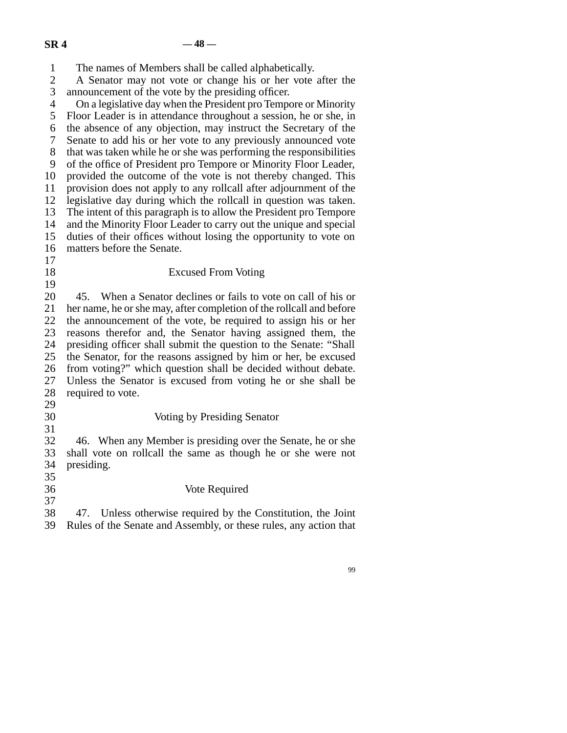| $\mathbf{1}$   | The names of Members shall be called alphabetically.                                                                          |
|----------------|-------------------------------------------------------------------------------------------------------------------------------|
| $\overline{2}$ | A Senator may not vote or change his or her vote after the                                                                    |
| 3              | announcement of the vote by the presiding officer.                                                                            |
| $\overline{4}$ | On a legislative day when the President pro Tempore or Minority                                                               |
| 5              | Floor Leader is in attendance throughout a session, he or she, in                                                             |
| 6              | the absence of any objection, may instruct the Secretary of the                                                               |
| $\tau$         | Senate to add his or her vote to any previously announced vote                                                                |
| 8              | that was taken while he or she was performing the responsibilities                                                            |
| 9              | of the office of President pro Tempore or Minority Floor Leader,                                                              |
| 10             | provided the outcome of the vote is not thereby changed. This                                                                 |
| 11             | provision does not apply to any rollcall after adjournment of the                                                             |
| 12             | legislative day during which the rollcall in question was taken.                                                              |
| 13             | The intent of this paragraph is to allow the President pro Tempore                                                            |
| 14             | and the Minority Floor Leader to carry out the unique and special                                                             |
| 15             | duties of their offices without losing the opportunity to vote on                                                             |
| 16             | matters before the Senate.                                                                                                    |
| 17             |                                                                                                                               |
| 18             | <b>Excused From Voting</b>                                                                                                    |
| 19             |                                                                                                                               |
| 20             | When a Senator declines or fails to vote on call of his or<br>45.                                                             |
| 21             | her name, he or she may, after completion of the rollcall and before                                                          |
| 22             | the announcement of the vote, be required to assign his or her                                                                |
| 23             | reasons therefor and, the Senator having assigned them, the                                                                   |
| 24             | presiding officer shall submit the question to the Senate: "Shall                                                             |
| 25             | the Senator, for the reasons assigned by him or her, be excused                                                               |
| 26<br>27       | from voting?" which question shall be decided without debate.<br>Unless the Senator is excused from voting he or she shall be |
| 28             | required to vote.                                                                                                             |
| 29             |                                                                                                                               |
| 30             | Voting by Presiding Senator                                                                                                   |
| 31             |                                                                                                                               |
| 32             | 46. When any Member is presiding over the Senate, he or she                                                                   |
| 33             | shall vote on rollcall the same as though he or she were not                                                                  |
| 34             | presiding.                                                                                                                    |
| 35             |                                                                                                                               |
| 36             | Vote Required                                                                                                                 |
| 37             |                                                                                                                               |
| 38             | Unless otherwise required by the Constitution, the Joint<br>47.                                                               |
| 39             | Rules of the Senate and Assembly, or these rules, any action that                                                             |
|                |                                                                                                                               |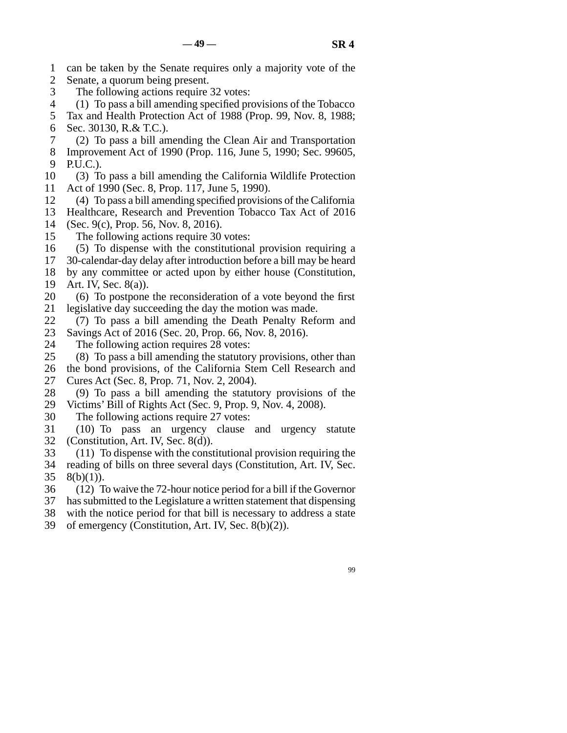- 1 can be taken by the Senate requires only a majority vote of the 2 Senate, a quorum being present.
- 3 The following actions require 32 votes:
- line 4 (1) To pass a bill amending specified provisions of the Tobacco
- 5 Tax and Health Protection Act of 1988 (Prop. 99, Nov. 8, 1988; 6 Sec. 30130, R.& T.C.).
- line 7 (2) To pass a bill amending the Clean Air and Transportation
- 8 Improvement Act of 1990 (Prop. 116, June 5, 1990; Sec. 99605, 9 P.U.C.).
- 10 (3) To pass a bill amending the California Wildlife Protection line 11 Act of 1990 (Sec. 8, Prop. 117, June 5, 1990).
- 12 (4) To pass a bill amending specified provisions of the California
- 13 Healthcare, Research and Prevention Tobacco Tax Act of 2016
- 14 (Sec. 9(c), Prop. 56, Nov. 8, 2016).
- 15 The following actions require 30 votes:
- 16 (5) To dispense with the constitutional provision requiring a
- 17 30-calendar-day delay after introduction before a bill may be heard
- 18 by any committee or acted upon by either house (Constitution,
- 19 Art. IV, Sec. 8(a)).
- $20$  (6) To postpone the reconsideration of a vote beyond the first 21 legislative day succeeding the day the motion was made.
- 22 (7) To pass a bill amending the Death Penalty Reform and 23 Savings Act of 2016 (Sec. 20, Prop. 66, Nov. 8, 2016).
- 
- 24 The following action requires 28 votes:<br>25 (8) To pass a bill amending the statutor  $\lambda$  (8) To pass a bill amending the statutory provisions, other than
- 26 the bond provisions, of the California Stem Cell Research and
- 27 Cures Act (Sec. 8, Prop. 71, Nov. 2, 2004).
- 28 (9) To pass a bill amending the statutory provisions of the
- 29 Victims' Bill of Rights Act (Sec. 9, Prop. 9, Nov. 4, 2008).
- 30 The following actions require 27 votes:
- 31 (10) To pass an urgency clause and urgency statute 32 (Constitution, Art. IV, Sec. 8(d)).
- 33 (11) To dispense with the constitutional provision requiring the
- 34 reading of bills on three several days (Constitution, Art. IV, Sec. 35  $8(b)(1)$ ).
- 36 (12) To waive the 72-hour notice period for a bill if the Governor
- 37 has submitted to the Legislature a written statement that dispensing
- 38 with the notice period for that bill is necessary to address a state
- 39 of emergency (Constitution, Art. IV, Sec.  $8(b)(2)$ ).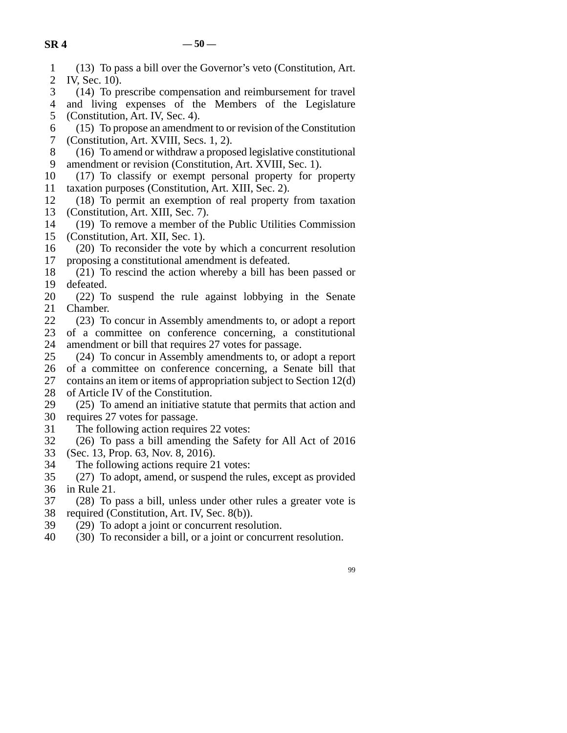4 and living expenses of the Members of the Legislature 5 (Constitution, Art. IV, Sec. 4).  $\delta$  (15) To propose an amendment to or revision of the Constitution 7 (Constitution, Art. XVIII, Secs. 1, 2). 8 (16) To amend or withdraw a proposed legislative constitutional 9 amendment or revision (Constitution, Art. XVIII, Sec. 1). 10 (17) To classify or exempt personal property for property 11 taxation purposes (Constitution, Art. XIII, Sec. 2). 12 (18) To permit an exemption of real property from taxation 13 (Constitution, Art. XIII, Sec. 7).<br>14 (19) To remove a member of (19) To remove a member of the Public Utilities Commission 15 (Constitution, Art. XII, Sec. 1). 16 (20) To reconsider the vote by which a concurrent resolution 17 proposing a constitutional amendment is defeated. 18 (21) To rescind the action whereby a bill has been passed or 19 defeated. 20 (22) To suspend the rule against lobbying in the Senate 21 Chamber. 22 (23) To concur in Assembly amendments to, or adopt a report 23 of a committee on conference concerning, a constitutional 24 amendment or bill that requires 27 votes for passage.<br>25 (24) To concur in Assembly amendments to, or ad (24) To concur in Assembly amendments to, or adopt a report 26 of a committee on conference concerning, a Senate bill that

27 contains an item or items of appropriation subject to Section  $12(d)$ 28 of Article IV of the Constitution.

 $29$  (25) To amend an initiative statute that permits that action and 30 requires 27 votes for passage.

31 The following action requires 22 votes:

32 (26) To pass a bill amending the Safety for All Act of 2016<br>33 (Sec. 13, Prop. 63, Nov. 8, 2016).

(Sec. 13, Prop. 63, Nov. 8, 2016).

- 34 The following actions require 21 votes:
- line 35 (27) To adopt, amend, or suspend the rules, except as provided 36 in Rule 21.

37 (28) To pass a bill, unless under other rules a greater vote is 38 required (Constitution, Art. IV, Sec. 8(b)).

- 39 (29) To adopt a joint or concurrent resolution.
- 40 (30) To reconsider a bill, or a joint or concurrent resolution.

 line 1 (13) To pass a bill over the Governor's veto (Constitution, Art. 2 IV, Sec. 10).<br>3 (14) To pr  $(14)$  To prescribe compensation and reimbursement for travel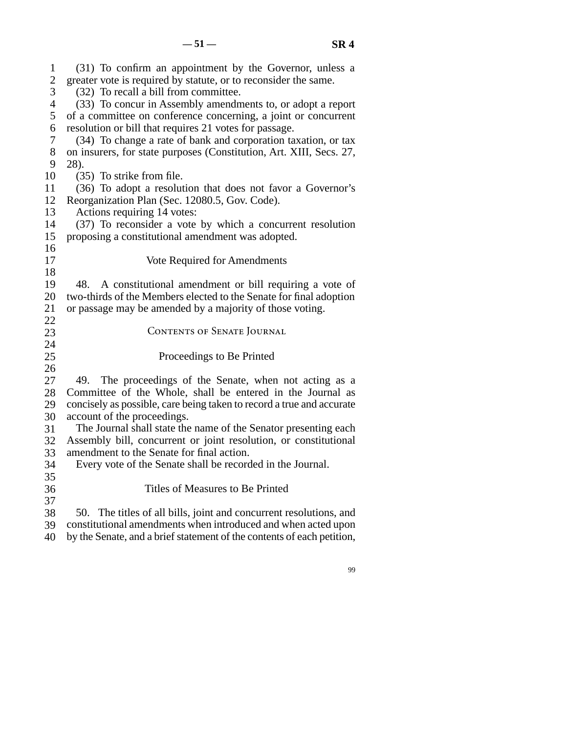| $\mathbf{1}$   | (31) To confirm an appointment by the Governor, unless a               |
|----------------|------------------------------------------------------------------------|
| $\overline{2}$ | greater vote is required by statute, or to reconsider the same.        |
| 3              | (32) To recall a bill from committee.                                  |
| $\overline{4}$ | (33) To concur in Assembly amendments to, or adopt a report            |
| 5              | of a committee on conference concerning, a joint or concurrent         |
| 6              | resolution or bill that requires 21 votes for passage.                 |
| 7              | (34) To change a rate of bank and corporation taxation, or tax         |
| 8              | on insurers, for state purposes (Constitution, Art. XIII, Secs. 27,    |
| 9              | 28).                                                                   |
| 10             | (35) To strike from file.                                              |
| 11             | (36) To adopt a resolution that does not favor a Governor's            |
| 12             | Reorganization Plan (Sec. 12080.5, Gov. Code).                         |
| 13             | Actions requiring 14 votes:                                            |
| 14             | (37) To reconsider a vote by which a concurrent resolution             |
| 15             | proposing a constitutional amendment was adopted.                      |
| 16             |                                                                        |
| 17             | Vote Required for Amendments                                           |
| 18             |                                                                        |
| 19             | A constitutional amendment or bill requiring a vote of<br>48.          |
| 20             | two-thirds of the Members elected to the Senate for final adoption     |
| 21             | or passage may be amended by a majority of those voting.               |
| 22             |                                                                        |
| 23             | <b>CONTENTS OF SENATE JOURNAL</b>                                      |
| 24             |                                                                        |
| 25             | Proceedings to Be Printed                                              |
| 26             |                                                                        |
| 27             | The proceedings of the Senate, when not acting as a<br>49.             |
| 28             | Committee of the Whole, shall be entered in the Journal as             |
| 29             | concisely as possible, care being taken to record a true and accurate  |
| 30             | account of the proceedings.                                            |
| 31             | The Journal shall state the name of the Senator presenting each        |
| 32             | Assembly bill, concurrent or joint resolution, or constitutional       |
| 33             | amendment to the Senate for final action.                              |
| 34             | Every vote of the Senate shall be recorded in the Journal.             |
| 35             | Titles of Measures to Be Printed                                       |
| 36             |                                                                        |
| 37             |                                                                        |
| 38             | 50. The titles of all bills, joint and concurrent resolutions, and     |
| 39             | constitutional amendments when introduced and when acted upon          |
| 40             | by the Senate, and a brief statement of the contents of each petition, |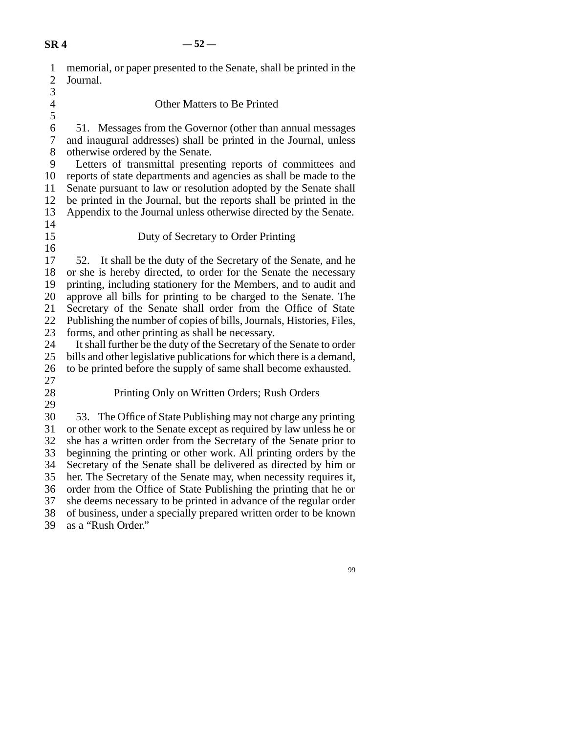| $\mathbf{1}$   | memorial, or paper presented to the Senate, shall be printed in the   |
|----------------|-----------------------------------------------------------------------|
| $\mathbf{2}$   | Journal.                                                              |
| $\overline{3}$ |                                                                       |
| $\overline{4}$ | Other Matters to Be Printed                                           |
| 5              |                                                                       |
| 6              | 51. Messages from the Governor (other than annual messages            |
| $\tau$         | and inaugural addresses) shall be printed in the Journal, unless      |
| 8              | otherwise ordered by the Senate.                                      |
| 9              | Letters of transmittal presenting reports of committees and           |
| 10             | reports of state departments and agencies as shall be made to the     |
| 11             | Senate pursuant to law or resolution adopted by the Senate shall      |
| 12             | be printed in the Journal, but the reports shall be printed in the    |
| 13             | Appendix to the Journal unless otherwise directed by the Senate.      |
| 14             |                                                                       |
| 15             | Duty of Secretary to Order Printing                                   |
| 16             |                                                                       |
| 17             | It shall be the duty of the Secretary of the Senate, and he<br>52.    |
| 18             | or she is hereby directed, to order for the Senate the necessary      |
| 19             | printing, including stationery for the Members, and to audit and      |
| 20             | approve all bills for printing to be charged to the Senate. The       |
| 21             | Secretary of the Senate shall order from the Office of State          |
| 22             | Publishing the number of copies of bills, Journals, Histories, Files, |
| 23             | forms, and other printing as shall be necessary.                      |
| 24             | It shall further be the duty of the Secretary of the Senate to order  |
| 25             | bills and other legislative publications for which there is a demand, |
| 26             | to be printed before the supply of same shall become exhausted.       |
| 27             |                                                                       |
| 28             | Printing Only on Written Orders; Rush Orders                          |
| 29             |                                                                       |
| 30             | 53. The Office of State Publishing may not charge any printing        |
| 31             | or other work to the Senate except as required by law unless he or    |
| 32             | she has a written order from the Secretary of the Senate prior to     |
| 33             | beginning the printing or other work. All printing orders by the      |
| 34             | Secretary of the Senate shall be delivered as directed by him or      |
| 35             | her. The Secretary of the Senate may, when necessity requires it,     |
| 36             | order from the Office of State Publishing the printing that he or     |
| 37             | she deems necessary to be printed in advance of the regular order     |
| 38             | of business, under a specially prepared written order to be known     |

39 as a "Rush Order."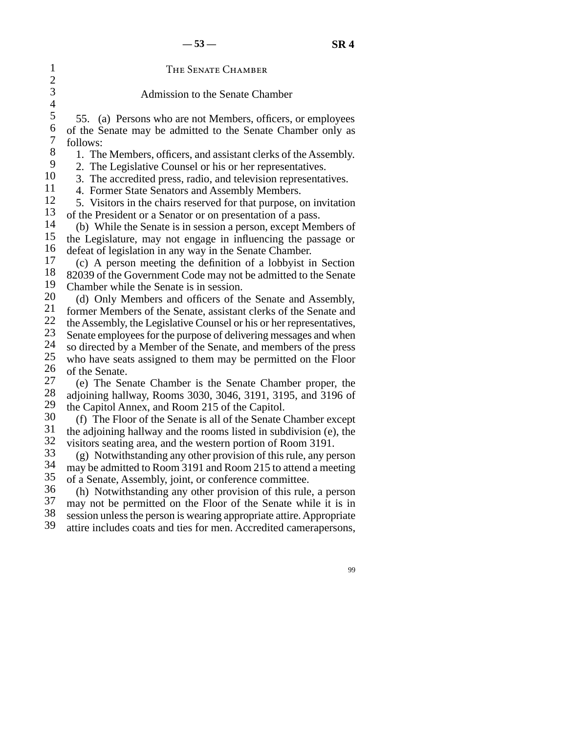| $\mathbf{1}$   | THE SENATE CHAMBER                                                   |
|----------------|----------------------------------------------------------------------|
|                |                                                                      |
| $\frac{2}{3}$  | Admission to the Senate Chamber                                      |
| $\overline{4}$ |                                                                      |
| 5              | 55. (a) Persons who are not Members, officers, or employees          |
| 6              | of the Senate may be admitted to the Senate Chamber only as          |
| 7              | follows:                                                             |
| 8              | 1. The Members, officers, and assistant clerks of the Assembly.      |
| 9              | 2. The Legislative Counsel or his or her representatives.            |
| 10             | 3. The accredited press, radio, and television representatives.      |
| 11             | 4. Former State Senators and Assembly Members.                       |
| 12             | 5. Visitors in the chairs reserved for that purpose, on invitation   |
| 13             | of the President or a Senator or on presentation of a pass.          |
| 14             | (b) While the Senate is in session a person, except Members of       |
| 15             | the Legislature, may not engage in influencing the passage or        |
| 16             | defeat of legislation in any way in the Senate Chamber.              |
| 17             | (c) A person meeting the definition of a lobbyist in Section         |
| 18             | 82039 of the Government Code may not be admitted to the Senate       |
| 19             | Chamber while the Senate is in session.                              |
| 20             | (d) Only Members and officers of the Senate and Assembly,            |
| 21             | former Members of the Senate, assistant clerks of the Senate and     |
| 22             | the Assembly, the Legislative Counsel or his or her representatives, |
| 23             | Senate employees for the purpose of delivering messages and when     |
| 24             | so directed by a Member of the Senate, and members of the press      |
| 25             | who have seats assigned to them may be permitted on the Floor        |
| 26             | of the Senate.                                                       |
| 27             | (e) The Senate Chamber is the Senate Chamber proper, the             |
| 28             | adjoining hallway, Rooms 3030, 3046, 3191, 3195, and 3196 of         |
| 29             | the Capitol Annex, and Room 215 of the Capitol.                      |
| 30             | (f) The Floor of the Senate is all of the Senate Chamber except      |
| 31             | the adjoining hallway and the rooms listed in subdivision (e), the   |
| 32             | visitors seating area, and the western portion of Room 3191.         |
| 33             | (g) Notwithstanding any other provision of this rule, any person     |
| 34             | may be admitted to Room 3191 and Room 215 to attend a meeting        |
| 35             | of a Senate, Assembly, joint, or conference committee.               |
| 36             | (h) Notwithstanding any other provision of this rule, a person       |
| 37             | may not be permitted on the Floor of the Senate while it is in       |
| 38             | session unless the person is wearing appropriate attire. Appropriate |

39 attire includes coats and ties for men. Accredited camerapersons,